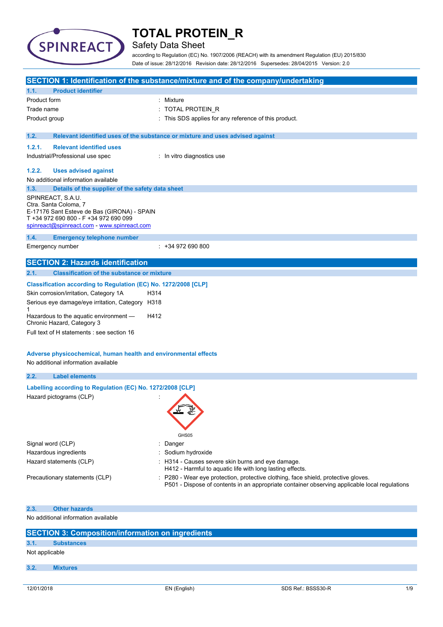

## Safety Data Sheet

according to Regulation (EC) No. 1907/2006 (REACH) with its amendment Regulation (EU) 2015/830 Date of issue: 28/12/2016 Revision date: 28/12/2016 Supersedes: 28/04/2015 Version: 2.0

|                                                                                                        | <b>SECTION 1: Identification of the substance/mixture and of the company/undertaking</b>                                                                                          |
|--------------------------------------------------------------------------------------------------------|-----------------------------------------------------------------------------------------------------------------------------------------------------------------------------------|
| <b>Product identifier</b><br>1.1.                                                                      |                                                                                                                                                                                   |
| Product form                                                                                           | : Mixture                                                                                                                                                                         |
| Trade name                                                                                             | : TOTAL PROTEIN_R                                                                                                                                                                 |
| Product group                                                                                          | : This SDS applies for any reference of this product.                                                                                                                             |
|                                                                                                        |                                                                                                                                                                                   |
| 1.2.                                                                                                   | Relevant identified uses of the substance or mixture and uses advised against                                                                                                     |
| <b>Relevant identified uses</b><br>1.2.1.                                                              |                                                                                                                                                                                   |
| Industrial/Professional use spec                                                                       | : In vitro diagnostics use                                                                                                                                                        |
|                                                                                                        |                                                                                                                                                                                   |
| 1.2.2.<br><b>Uses advised against</b>                                                                  |                                                                                                                                                                                   |
| No additional information available                                                                    |                                                                                                                                                                                   |
| 1.3.<br>Details of the supplier of the safety data sheet                                               |                                                                                                                                                                                   |
| SPINREACT, S.A.U.<br>Ctra. Santa Coloma, 7                                                             |                                                                                                                                                                                   |
| E-17176 Sant Esteve de Bas (GIRONA) - SPAIN                                                            |                                                                                                                                                                                   |
| T +34 972 690 800 - F +34 972 690 099                                                                  |                                                                                                                                                                                   |
| spinreact@spinreact.com - www.spinreact.com                                                            |                                                                                                                                                                                   |
| 1.4.<br><b>Emergency telephone number</b>                                                              |                                                                                                                                                                                   |
| Emergency number                                                                                       | $: +34972690800$                                                                                                                                                                  |
|                                                                                                        |                                                                                                                                                                                   |
| <b>SECTION 2: Hazards identification</b>                                                               |                                                                                                                                                                                   |
| 2.1.<br><b>Classification of the substance or mixture</b>                                              |                                                                                                                                                                                   |
| Classification according to Regulation (EC) No. 1272/2008 [CLP]                                        |                                                                                                                                                                                   |
| Skin corrosion/irritation, Category 1A<br>H314                                                         |                                                                                                                                                                                   |
| Serious eye damage/eye irritation, Category H318                                                       |                                                                                                                                                                                   |
| 1<br>Hazardous to the aquatic environment -<br>H412                                                    |                                                                                                                                                                                   |
| Chronic Hazard, Category 3                                                                             |                                                                                                                                                                                   |
| Full text of H statements : see section 16                                                             |                                                                                                                                                                                   |
|                                                                                                        |                                                                                                                                                                                   |
|                                                                                                        |                                                                                                                                                                                   |
| Adverse physicochemical, human health and environmental effects<br>No additional information available |                                                                                                                                                                                   |
|                                                                                                        |                                                                                                                                                                                   |
| 2.2.<br><b>Label elements</b>                                                                          |                                                                                                                                                                                   |
| Labelling according to Regulation (EC) No. 1272/2008 [CLP]                                             |                                                                                                                                                                                   |
| Hazard pictograms (CLP)                                                                                |                                                                                                                                                                                   |
|                                                                                                        | FULL                                                                                                                                                                              |
|                                                                                                        | €∑                                                                                                                                                                                |
|                                                                                                        |                                                                                                                                                                                   |
|                                                                                                        | GHS05                                                                                                                                                                             |
| Signal word (CLP)<br>÷                                                                                 | Danger                                                                                                                                                                            |
| Hazardous ingredients                                                                                  | Sodium hydroxide                                                                                                                                                                  |
| Hazard statements (CLP)                                                                                | : H314 - Causes severe skin burns and eye damage.                                                                                                                                 |
|                                                                                                        | H412 - Harmful to aquatic life with long lasting effects.                                                                                                                         |
| Precautionary statements (CLP)                                                                         | P280 - Wear eye protection, protective clothing, face shield, protective gloves.<br>P501 - Dispose of contents in an appropriate container observing applicable local regulations |
|                                                                                                        |                                                                                                                                                                                   |
|                                                                                                        |                                                                                                                                                                                   |
| <b>Other hazards</b><br>2.3.                                                                           |                                                                                                                                                                                   |
| No additional information available                                                                    |                                                                                                                                                                                   |
|                                                                                                        |                                                                                                                                                                                   |
| <b>SECTION 3: Composition/information on ingredients</b>                                               |                                                                                                                                                                                   |
| 3.1.<br><b>Substances</b>                                                                              |                                                                                                                                                                                   |
| Not applicable                                                                                         |                                                                                                                                                                                   |

### **3.2. Mixtures**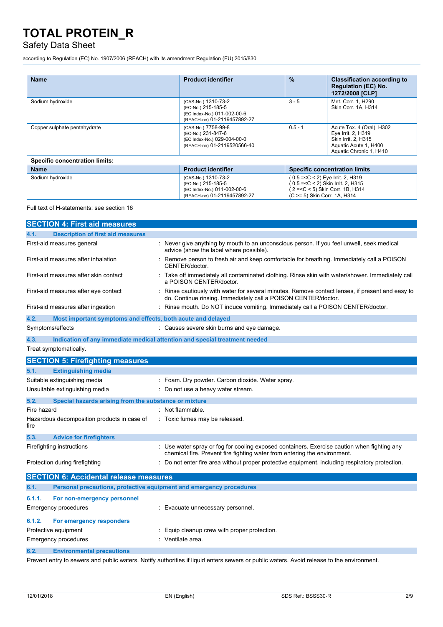## Safety Data Sheet

according to Regulation (EC) No. 1907/2006 (REACH) with its amendment Regulation (EU) 2015/830

| <b>Name</b>                           | <b>Product identifier</b>                                                                               | $\frac{9}{6}$                                                        | <b>Classification according to</b><br><b>Regulation (EC) No.</b><br>1272/2008 [CLP]                                        |
|---------------------------------------|---------------------------------------------------------------------------------------------------------|----------------------------------------------------------------------|----------------------------------------------------------------------------------------------------------------------------|
| Sodium hydroxide                      | (CAS-No.) 1310-73-2<br>(EC-No.) 215-185-5<br>(EC Index-No.) 011-002-00-6<br>(REACH-no) 01-2119457892-27 | $3 - 5$                                                              | Met. Corr. 1, H290<br>Skin Corr. 1A, H314                                                                                  |
| Copper sulphate pentahydrate          | (CAS-No.) 7758-99-8<br>(EC-No.) 231-847-6<br>(EC Index-No.) 029-004-00-0<br>(REACH-no) 01-2119520566-40 | $0.5 - 1$                                                            | Acute Tox. 4 (Oral), H302<br>Eye Irrit. 2, H319<br>Skin Irrit. 2, H315<br>Aquatic Acute 1, H400<br>Aquatic Chronic 1, H410 |
| <b>Specific concentration limits:</b> |                                                                                                         |                                                                      |                                                                                                                            |
| <b>Name</b>                           | <b>Product identifier</b>                                                                               |                                                                      | <b>Specific concentration limits</b>                                                                                       |
| Sodium hydroxide                      | (CAS-No.) 1310-73-2<br>(EC-No.) 215-185-5<br>(EC Index-No.) 011-002-00-6<br>(REACH-no) 01-2119457892-27 | $(0.5 = < C < 2)$ Eye Irrit. 2, H319<br>(C >= 5) Skin Corr. 1A, H314 | (0.5 = < C < 2) Skin Irrit. 2, H315<br>(2 = < C < 5) Skin Corr. 1B, H314                                                   |

#### Full text of H-statements: see section 16

|             | <b>SECTION 4: First aid measures</b>                                       |                                                                                                                                                                        |
|-------------|----------------------------------------------------------------------------|------------------------------------------------------------------------------------------------------------------------------------------------------------------------|
| 4.1.        | <b>Description of first aid measures</b>                                   |                                                                                                                                                                        |
|             | First-aid measures general                                                 | : Never give anything by mouth to an unconscious person. If you feel unwell, seek medical<br>advice (show the label where possible).                                   |
|             | First-aid measures after inhalation                                        | Remove person to fresh air and keep comfortable for breathing. Immediately call a POISON<br>CENTER/doctor.                                                             |
|             | First-aid measures after skin contact                                      | Take off immediately all contaminated clothing. Rinse skin with water/shower. Immediately call<br>a POISON CENTER/doctor.                                              |
|             | First-aid measures after eye contact                                       | Rinse cautiously with water for several minutes. Remove contact lenses, if present and easy to<br>do. Continue rinsing. Immediately call a POISON CENTER/doctor.       |
|             | First-aid measures after ingestion                                         | : Rinse mouth. Do NOT induce vomiting. Immediately call a POISON CENTER/doctor.                                                                                        |
| 4.2.        | Most important symptoms and effects, both acute and delayed                |                                                                                                                                                                        |
|             | Symptoms/effects                                                           | Causes severe skin burns and eye damage.                                                                                                                               |
| 4.3.        | Indication of any immediate medical attention and special treatment needed |                                                                                                                                                                        |
|             | Treat symptomatically.                                                     |                                                                                                                                                                        |
|             | <b>SECTION 5: Firefighting measures</b>                                    |                                                                                                                                                                        |
| 5.1.        | <b>Extinguishing media</b>                                                 |                                                                                                                                                                        |
|             | Suitable extinguishing media                                               | Foam. Dry powder. Carbon dioxide. Water spray.                                                                                                                         |
|             | Unsuitable extinguishing media                                             | Do not use a heavy water stream.                                                                                                                                       |
| 5.2.        | Special hazards arising from the substance or mixture                      |                                                                                                                                                                        |
| Fire hazard |                                                                            | : Not flammable.                                                                                                                                                       |
| fire        | Hazardous decomposition products in case of                                | : Toxic fumes may be released.                                                                                                                                         |
| 5.3.        | <b>Advice for firefighters</b>                                             |                                                                                                                                                                        |
|             | Firefighting instructions                                                  | Use water spray or fog for cooling exposed containers. Exercise caution when fighting any<br>chemical fire. Prevent fire fighting water from entering the environment. |
|             | Protection during firefighting                                             | : Do not enter fire area without proper protective equipment, including respiratory protection.                                                                        |
|             | <b>SECTION 6: Accidental release measures</b>                              |                                                                                                                                                                        |
| 6.1.        | Personal precautions, protective equipment and emergency procedures        |                                                                                                                                                                        |
| 6.1.1.      | For non-emergency personnel                                                |                                                                                                                                                                        |
|             | <b>Emergency procedures</b>                                                | Evacuate unnecessary personnel.                                                                                                                                        |
| 6.1.2.      | For emergency responders                                                   |                                                                                                                                                                        |
|             | Protective equipment                                                       | Equip cleanup crew with proper protection.                                                                                                                             |
|             | <b>Emergency procedures</b>                                                | Ventilate area.                                                                                                                                                        |

### **6.2. Environmental precautions**

Prevent entry to sewers and public waters. Notify authorities if liquid enters sewers or public waters. Avoid release to the environment.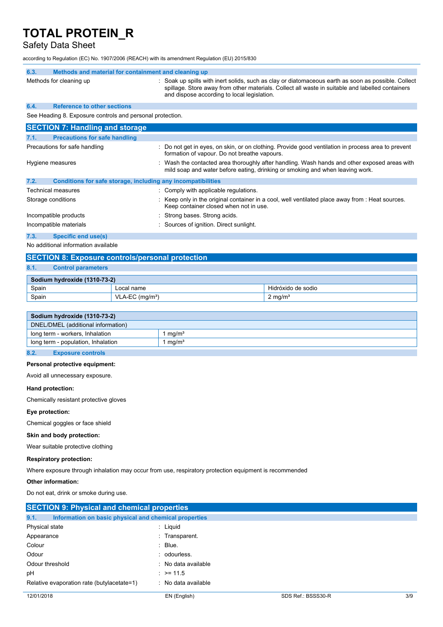## Safety Data Sheet

according to Regulation (EC) No. 1907/2006 (REACH) with its amendment Regulation (EU) 2015/830

| 6.3. | Methods and material for containment and cleaning up         |                                                                                                                                                                                                                                                        |
|------|--------------------------------------------------------------|--------------------------------------------------------------------------------------------------------------------------------------------------------------------------------------------------------------------------------------------------------|
|      | Methods for cleaning up                                      | : Soak up spills with inert solids, such as clay or diatomaceous earth as soon as possible. Collect<br>spillage. Store away from other materials. Collect all waste in suitable and labelled containers<br>and dispose according to local legislation. |
| 6.4. | <b>Reference to other sections</b>                           |                                                                                                                                                                                                                                                        |
|      | See Heading 8. Exposure controls and personal protection.    |                                                                                                                                                                                                                                                        |
|      | <b>SECTION 7: Handling and storage</b>                       |                                                                                                                                                                                                                                                        |
| 7.1. | <b>Precautions for safe handling</b>                         |                                                                                                                                                                                                                                                        |
|      | Precautions for safe handling                                | Do not get in eyes, on skin, or on clothing. Provide good ventilation in process area to prevent<br>formation of vapour. Do not breathe vapours.                                                                                                       |
|      | Hygiene measures                                             | Wash the contacted area thoroughly after handling. Wash hands and other exposed areas with<br>mild soap and water before eating, drinking or smoking and when leaving work.                                                                            |
| 7.2. | Conditions for safe storage, including any incompatibilities |                                                                                                                                                                                                                                                        |
|      | Technical measures                                           | : Comply with applicable regulations.                                                                                                                                                                                                                  |
|      | Storage conditions                                           | Keep only in the original container in a cool, well ventilated place away from : Heat sources.<br>Keep container closed when not in use.                                                                                                               |
|      | Incompatible products                                        | Strong bases. Strong acids.                                                                                                                                                                                                                            |
|      | Incompatible materials                                       | Sources of ignition. Direct sunlight.                                                                                                                                                                                                                  |
| 7.3. | <b>Specific end use(s)</b>                                   |                                                                                                                                                                                                                                                        |
|      | h le ceddition ol information cumilatele                     |                                                                                                                                                                                                                                                        |

No additional information available

### **SECTION 8: Exposure controls/personal protection**

### **8.1. Control parameters**

| Sodium hydroxide (1310-73-2) |                               |                    |
|------------------------------|-------------------------------|--------------------|
| Spain                        | Local name                    | Hidróxido de sodio |
| Spain                        | $VLA-EC$ (mg/m <sup>3</sup> ) | $2 \text{ mg/m}^3$ |

|      | Sodium hydroxide (1310-73-2)       |                   |
|------|------------------------------------|-------------------|
|      | DNEL/DMEL (additional information) |                   |
|      | long term - workers, Inhalation    | mq/m <sup>3</sup> |
|      | long term - population, Inhalation | mq/m <sup>3</sup> |
|      |                                    |                   |
| 8.2. | <b>Exposure controls</b>           |                   |

### **Personal protective equipment:**

Avoid all unnecessary exposure.

#### **Hand protection:**

Chemically resistant protective gloves

### **Eye protection:**

Chemical goggles or face shield

### **Skin and body protection:**

Wear suitable protective clothing

#### **Respiratory protection:**

Where exposure through inhalation may occur from use, respiratory protection equipment is recommended

### **Other information:**

Do not eat, drink or smoke during use.

| <b>SECTION 9: Physical and chemical properties</b>            |                     |                    |     |
|---------------------------------------------------------------|---------------------|--------------------|-----|
| 9.1.<br>Information on basic physical and chemical properties |                     |                    |     |
| Physical state                                                | : Liguid            |                    |     |
| Appearance                                                    | : Transparent.      |                    |     |
| Colour                                                        | $:$ Blue.           |                    |     |
| Odour                                                         | : odourless.        |                    |     |
| Odour threshold                                               | : No data available |                    |     |
| рH                                                            | : $> = 11.5$        |                    |     |
| Relative evaporation rate (butylacetate=1)                    | : No data available |                    |     |
| 12/01/2018                                                    | EN (English)        | SDS Ref.: BSSS30-R | 3/9 |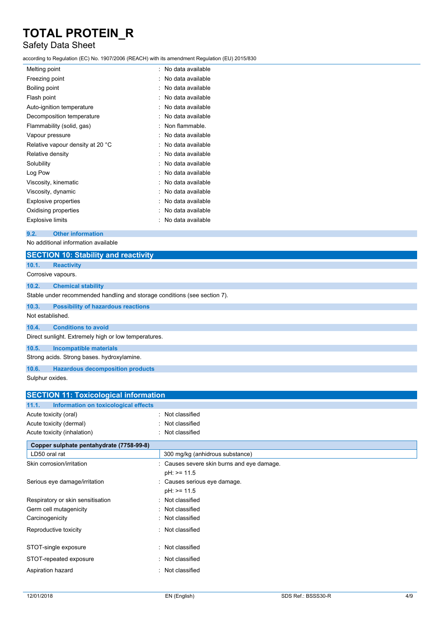## Safety Data Sheet

according to Regulation (EC) No. 1907/2006 (REACH) with its amendment Regulation (EU) 2015/830

| Melting point                    | No data available |
|----------------------------------|-------------------|
| Freezing point                   | No data available |
| Boiling point                    | No data available |
| Flash point                      | No data available |
| Auto-ignition temperature        | No data available |
| Decomposition temperature        | No data available |
| Flammability (solid, gas)        | Non flammable.    |
| Vapour pressure                  | No data available |
| Relative vapour density at 20 °C | No data available |
| Relative density                 | No data available |
| Solubility                       | No data available |
| Log Pow                          | No data available |
| Viscosity, kinematic             | No data available |
| Viscosity, dynamic               | No data available |
| <b>Explosive properties</b>      | No data available |
| Oxidising properties             | No data available |
| <b>Explosive limits</b>          | No data available |
|                                  |                   |

### **9.2. Other information**

No additional information available

|                  | <b>SECTION 10: Stability and reactivity</b>                               |
|------------------|---------------------------------------------------------------------------|
| 10.1.            | <b>Reactivity</b>                                                         |
|                  | Corrosive vapours.                                                        |
| 10.2.            | <b>Chemical stability</b>                                                 |
|                  | Stable under recommended handling and storage conditions (see section 7). |
| 10.3.            | <b>Possibility of hazardous reactions</b>                                 |
| Not established. |                                                                           |
| 10.4.            | <b>Conditions to avoid</b>                                                |
|                  | Direct sunlight. Extremely high or low temperatures.                      |
| 10.5.            | <b>Incompatible materials</b>                                             |
|                  | Strong acids. Strong bases. hydroxylamine.                                |
| 10.6.            | <b>Hazardous decomposition products</b>                                   |

Sulphur oxides.

| <b>SECTION 11: Toxicological information</b>  |                                          |  |
|-----------------------------------------------|------------------------------------------|--|
| 11.1.<br>Information on toxicological effects |                                          |  |
| Acute toxicity (oral)                         | : Not classified                         |  |
| Acute toxicity (dermal)                       | Not classified                           |  |
| Acute toxicity (inhalation)                   | Not classified<br>÷.                     |  |
| Copper sulphate pentahydrate (7758-99-8)      |                                          |  |
| LD50 oral rat                                 | 300 mg/kg (anhidrous substance)          |  |
| Skin corrosion/irritation                     | Causes severe skin burns and eye damage. |  |
|                                               | $pH$ : $>= 11.5$                         |  |
| Serious eye damage/irritation                 | Causes serious eye damage.               |  |
|                                               | $pH$ : $>= 11.5$                         |  |
| Respiratory or skin sensitisation             | Not classified                           |  |
| Germ cell mutagenicity                        | Not classified                           |  |
| Carcinogenicity                               | : Not classified                         |  |
| Reproductive toxicity                         | : Not classified                         |  |
| STOT-single exposure                          | Not classified                           |  |
| STOT-repeated exposure                        | Not classified                           |  |
| Aspiration hazard                             | Not classified<br>٠                      |  |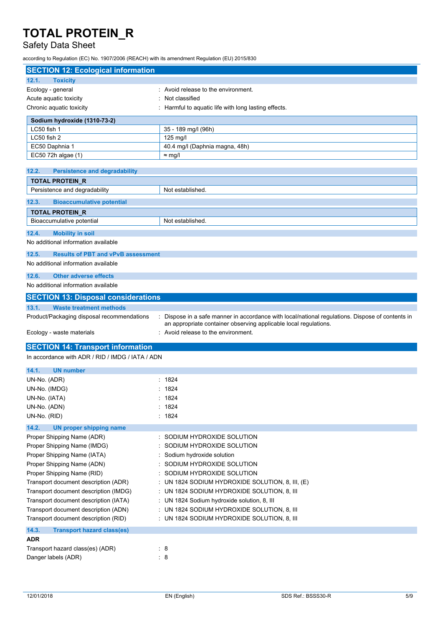## Safety Data Sheet

according to Regulation (EC) No. 1907/2006 (REACH) with its amendment Regulation (EU) 2015/830

| <b>SECTION 12: Ecological information</b>                  |                                                                                                  |
|------------------------------------------------------------|--------------------------------------------------------------------------------------------------|
| 12.1.<br><b>Toxicity</b>                                   |                                                                                                  |
| Ecology - general                                          | : Avoid release to the environment.                                                              |
| Acute aquatic toxicity                                     | Not classified                                                                                   |
| Chronic aquatic toxicity                                   | : Harmful to aquatic life with long lasting effects.                                             |
| Sodium hydroxide (1310-73-2)                               |                                                                                                  |
| LC50 fish 1                                                | 35 - 189 mg/l (96h)                                                                              |
| LC50 fish 2                                                | 125 mg/l                                                                                         |
| EC50 Daphnia 1                                             | 40.4 mg/l (Daphnia magna, 48h)                                                                   |
| EC50 72h algae (1)                                         | $\approx$ mg/l                                                                                   |
| 12.2.<br><b>Persistence and degradability</b>              |                                                                                                  |
| <b>TOTAL PROTEIN R</b>                                     |                                                                                                  |
| Persistence and degradability                              | Not established.                                                                                 |
| 12.3.                                                      |                                                                                                  |
| <b>Bioaccumulative potential</b><br><b>TOTAL PROTEIN R</b> |                                                                                                  |
| Bioaccumulative potential                                  | Not established.                                                                                 |
|                                                            |                                                                                                  |
| 12.4.<br><b>Mobility in soil</b>                           |                                                                                                  |
| No additional information available                        |                                                                                                  |
| 12.5.<br><b>Results of PBT and vPvB assessment</b>         |                                                                                                  |
| No additional information available                        |                                                                                                  |
| <b>Other adverse effects</b><br>12.6.                      |                                                                                                  |
| No additional information available                        |                                                                                                  |
| <b>SECTION 13: Disposal considerations</b>                 |                                                                                                  |
| <b>Waste treatment methods</b><br>13.1.                    |                                                                                                  |
| Product/Packaging disposal recommendations                 | : Dispose in a safe manner in accordance with local/national regulations. Dispose of contents in |
|                                                            | an appropriate container observing applicable local regulations.                                 |
| Ecology - waste materials                                  | : Avoid release to the environment.                                                              |
| <b>SECTION 14: Transport information</b>                   |                                                                                                  |
| In accordance with ADR / RID / IMDG / IATA / ADN           |                                                                                                  |
|                                                            |                                                                                                  |
| 14.1.<br><b>UN number</b>                                  |                                                                                                  |
| UN-No. (ADR)                                               | : 1824                                                                                           |
| UN-No. (IMDG)                                              | : 1824                                                                                           |
| UN-No. (IATA)                                              | : 1824                                                                                           |
| UN-No. (ADN)<br>UN-No. (RID)                               | : 1824<br>: 1824                                                                                 |
|                                                            |                                                                                                  |
| 14.2.<br><b>UN proper shipping name</b>                    |                                                                                                  |
| Proper Shipping Name (ADR)                                 | : SODIUM HYDROXIDE SOLUTION                                                                      |
| Proper Shipping Name (IMDG)                                | SODIUM HYDROXIDE SOLUTION                                                                        |
| Proper Shipping Name (IATA)<br>Proper Shipping Name (ADN)  | Sodium hydroxide solution<br>SODIUM HYDROXIDE SOLUTION                                           |
| Proper Shipping Name (RID)                                 | SODIUM HYDROXIDE SOLUTION                                                                        |
| Transport document description (ADR)                       | UN 1824 SODIUM HYDROXIDE SOLUTION, 8, III, (E)                                                   |
| Transport document description (IMDG)                      | : UN 1824 SODIUM HYDROXIDE SOLUTION, 8, III                                                      |
| Transport document description (IATA)                      | : UN 1824 Sodium hydroxide solution, 8, III                                                      |
| Transport document description (ADN)                       | : UN 1824 SODIUM HYDROXIDE SOLUTION, 8, III                                                      |
| Transport document description (RID)                       | : UN 1824 SODIUM HYDROXIDE SOLUTION, 8, III                                                      |
| 14.3.<br><b>Transport hazard class(es)</b>                 |                                                                                                  |
| <b>ADR</b>                                                 |                                                                                                  |
| Transport hazard class(es) (ADR)                           | : 8                                                                                              |
| Danger labels (ADR)                                        | : 8                                                                                              |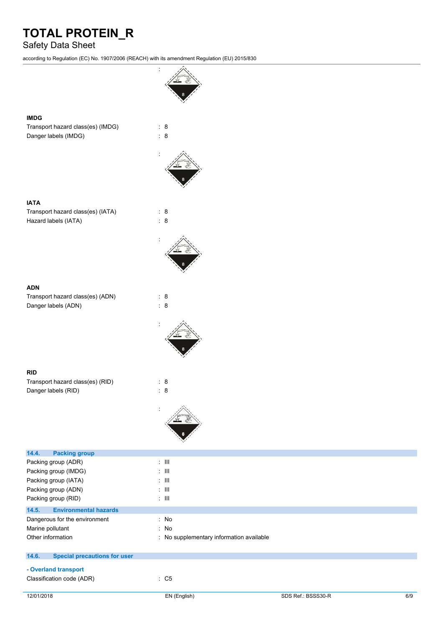## Safety Data Sheet

according to Regulation (EC) No. 1907/2006 (REACH) with its amendment Regulation (EU) 2015/830

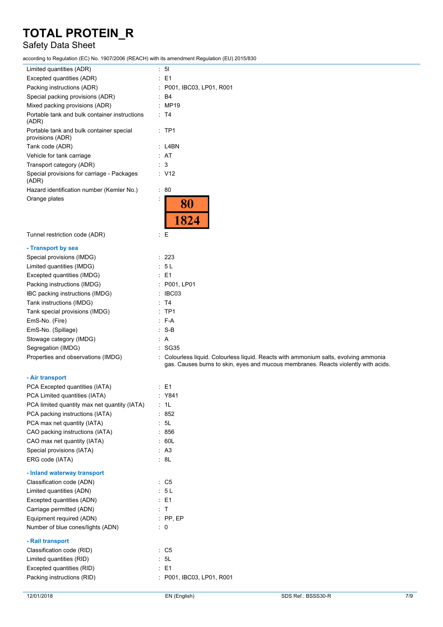## Safety Data Sheet

according to Regulation (EC) No. 1907/2006 (REACH) with its amendment Regulation (EU) 2015/830

| according to Regulation (EC) No. 1907/2000 (REACH) with its amendment Regulation (EO) 2019/630 |                                                                                                                                                                            |
|------------------------------------------------------------------------------------------------|----------------------------------------------------------------------------------------------------------------------------------------------------------------------------|
| Limited quantities (ADR)                                                                       | : 51                                                                                                                                                                       |
| Excepted quantities (ADR)                                                                      | : E1                                                                                                                                                                       |
| Packing instructions (ADR)                                                                     | : P001, IBC03, LP01, R001                                                                                                                                                  |
| Special packing provisions (ADR)                                                               | : B4                                                                                                                                                                       |
| Mixed packing provisions (ADR)                                                                 | : MP19                                                                                                                                                                     |
| Portable tank and bulk container instructions<br>(ADR)                                         | : T4                                                                                                                                                                       |
| Portable tank and bulk container special<br>provisions (ADR)                                   | $:$ TP1                                                                                                                                                                    |
| Tank code (ADR)                                                                                | : L4BN                                                                                                                                                                     |
| Vehicle for tank carriage                                                                      | : AT                                                                                                                                                                       |
| Transport category (ADR)                                                                       | : 3                                                                                                                                                                        |
| Special provisions for carriage - Packages<br>(ADR)                                            | : V12                                                                                                                                                                      |
| Hazard identification number (Kemler No.)                                                      | : 80                                                                                                                                                                       |
| Orange plates                                                                                  | 80<br>1824                                                                                                                                                                 |
| Tunnel restriction code (ADR)                                                                  | ÷Ε                                                                                                                                                                         |
| - Transport by sea                                                                             |                                                                                                                                                                            |
| Special provisions (IMDG)                                                                      | : 223                                                                                                                                                                      |
| Limited quantities (IMDG)                                                                      | : 5L                                                                                                                                                                       |
| Excepted quantities (IMDG)                                                                     | : E1                                                                                                                                                                       |
| Packing instructions (IMDG)                                                                    | : P001, LP01                                                                                                                                                               |
| IBC packing instructions (IMDG)                                                                | : IBC03                                                                                                                                                                    |
| Tank instructions (IMDG)                                                                       | : T4                                                                                                                                                                       |
| Tank special provisions (IMDG)                                                                 | $:$ TP1                                                                                                                                                                    |
| EmS-No. (Fire)                                                                                 | $: F-A$                                                                                                                                                                    |
| EmS-No. (Spillage)                                                                             | $: S-B$                                                                                                                                                                    |
| Stowage category (IMDG)                                                                        | ÷Α                                                                                                                                                                         |
| Segregation (IMDG)                                                                             | : SG35                                                                                                                                                                     |
| Properties and observations (IMDG)                                                             | : Colourless liquid. Colourless liquid. Reacts with ammonium salts, evolving ammonia<br>gas. Causes burns to skin, eyes and mucous membranes. Reacts violently with acids. |
| - Air transport                                                                                |                                                                                                                                                                            |
| PCA Excepted quantities (IATA)                                                                 | $\therefore$ E1                                                                                                                                                            |
| PCA Limited quantities (IATA)                                                                  | : Y841                                                                                                                                                                     |
| PCA limited quantity max net quantity (IATA)                                                   | : 1L                                                                                                                                                                       |
| PCA packing instructions (IATA)                                                                | : 852                                                                                                                                                                      |
| PCA max net quantity (IATA)                                                                    | 5L                                                                                                                                                                         |
| CAO packing instructions (IATA)                                                                | : 856                                                                                                                                                                      |
| CAO max net quantity (IATA)                                                                    | : 60L                                                                                                                                                                      |
| Special provisions (IATA)                                                                      | : A3                                                                                                                                                                       |
| ERG code (IATA)                                                                                | : 8L                                                                                                                                                                       |
| - Inland waterway transport                                                                    |                                                                                                                                                                            |
| Classification code (ADN)                                                                      | $\therefore$ C5                                                                                                                                                            |
| Limited quantities (ADN)                                                                       | : 5L                                                                                                                                                                       |
| Excepted quantities (ADN)                                                                      | $\therefore$ E1                                                                                                                                                            |
| Carriage permitted (ADN)                                                                       | : T                                                                                                                                                                        |
| Equipment required (ADN)                                                                       | $:$ PP, EP                                                                                                                                                                 |
| Number of blue cones/lights (ADN)                                                              | $\therefore$ 0                                                                                                                                                             |
| - Rail transport                                                                               |                                                                                                                                                                            |
| Classification code (RID)                                                                      | $\therefore$ C5                                                                                                                                                            |
| Limited quantities (RID)                                                                       | : 5L                                                                                                                                                                       |
| Excepted quantities (RID)                                                                      | $\therefore$ E1                                                                                                                                                            |
| Packing instructions (RID)                                                                     | : P001, IBC03, LP01, R001                                                                                                                                                  |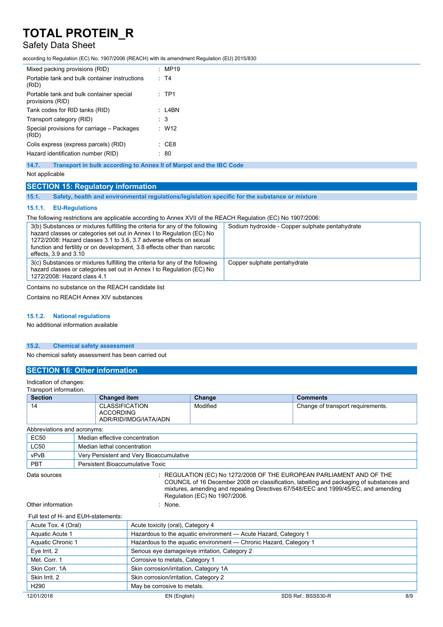## Safety Data Sheet

according to Regulation (EC) No. 1907/2006 (REACH) with its amendment Regulation (EU) 2015/830

| Mixed packing provisions (RID)                               | : MP19      |
|--------------------------------------------------------------|-------------|
| Portable tank and bulk container instructions<br>(RID)       | $·$ T4      |
| Portable tank and bulk container special<br>provisions (RID) | $:$ TP1     |
| Tank codes for RID tanks (RID)                               | · I4BN      |
| Transport category (RID)                                     | : 3         |
| Special provisions for carriage - Packages<br>(RID)          | $\cdot$ W12 |
| Colis express (express parcels) (RID)                        | · CF8       |
| Hazard identification number (RID)                           | 80          |
|                                                              |             |

**14.7. Transport in bulk according to Annex II of Marpol and the IBC Code**

Not applicable

#### **SECTION 15: Regulatory information**

**15.1. Safety, health and environmental regulations/legislation specific for the substance or mixture**

#### **15.1.1. EU-Regulations**

The following restrictions are applicable according to Annex XVII of the REACH Regulation (EC) No 1907/2006:

| 3(b) Substances or mixtures fulfilling the criteria for any of the following<br>hazard classes or categories set out in Annex I to Regulation (EC) No<br>1272/2008: Hazard classes 3.1 to 3.6, 3.7 adverse effects on sexual<br>function and fertility or on development, 3.8 effects other than narcotic<br>effects, $3.9$ and $3.10$ | Sodium hydroxide - Copper sulphate pentahydrate |
|----------------------------------------------------------------------------------------------------------------------------------------------------------------------------------------------------------------------------------------------------------------------------------------------------------------------------------------|-------------------------------------------------|
| 3(c) Substances or mixtures fulfilling the criteria for any of the following<br>hazard classes or categories set out in Annex I to Regulation (EC) No<br>1272/2008: Hazard class 4.1                                                                                                                                                   | Copper sulphate pentahydrate                    |

Contains no substance on the REACH candidate list

Contains no REACH Annex XIV substances

#### **15.1.2. National regulations**

No additional information available

#### **15.2. Chemical safety assessment**

No chemical safety assessment has been carried out

### **SECTION 16: Other information**

Indication of changes: Transport information.

**Section Changed item Change Comments** 14 CLASSIFICATION ACCORDING ADR/RID/IMDG/IATA/ADN Modified **Change of transport requirements.** Abbreviations and acronyms: EC50 Median effective concentration LC50 Median lethal concentration vPvB Very Persistent and Very Bioaccumulative PBT Persistent Bioaccumulative Toxic Data sources : REGULATION (EC) No 1272/2008 OF THE EUROPEAN PARLIAMENT AND OF THE COUNCIL of 16 December 2008 on classification, labelling and packaging of substances and mixtures, amending and repealing Directives 67/548/EEC and 1999/45/EC, and amending Regulation (EC) No 1907/2006. Other information in the set of the set of the set of the set of the set of the set of the set of the set of the set of the set of the set of the set of the set of the set of the set of the set of the set of the set of the Full text of H- and EUH-statements: Acute Tox. 4 (Oral) Acute toxicity (oral), Category 4

| $10110 + 0111$    | $1$ touto tomony (oral), outogoily is                             |
|-------------------|-------------------------------------------------------------------|
| Aquatic Acute 1   | Hazardous to the aquatic environment - Acute Hazard, Category 1   |
| Aquatic Chronic 1 | Hazardous to the aquatic environment - Chronic Hazard, Category 1 |
| Eye Irrit. 2      | Serious eye damage/eye irritation, Category 2                     |
| Met. Corr. 1      | Corrosive to metals, Category 1                                   |
| Skin Corr. 1A     | Skin corrosion/irritation, Category 1A                            |
| Skin Irrit. 2     | Skin corrosion/irritation, Category 2                             |
| H <sub>290</sub>  | May be corrosive to metals.                                       |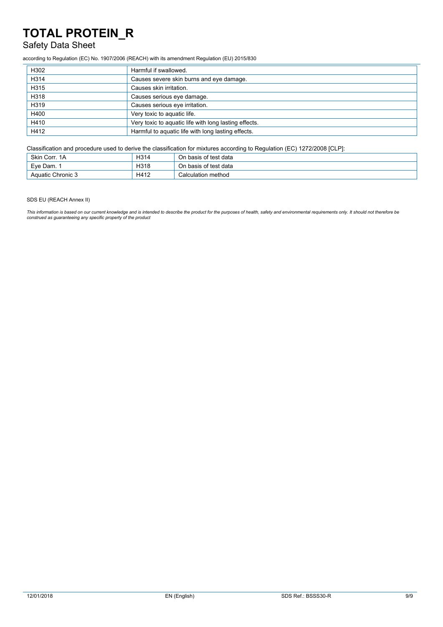## Safety Data Sheet

according to Regulation (EC) No. 1907/2006 (REACH) with its amendment Regulation (EU) 2015/830

| H302 | Harmful if swallowed.                                 |
|------|-------------------------------------------------------|
| H314 | Causes severe skin burns and eye damage.              |
| H315 | Causes skin irritation.                               |
| H318 | Causes serious eye damage.                            |
| H319 | Causes serious eye irritation.                        |
| H400 | Very toxic to aquatic life.                           |
| H410 | Very toxic to aquatic life with long lasting effects. |
| H412 | Harmful to aquatic life with long lasting effects.    |

Classification and procedure used to derive the classification for mixtures according to Regulation (EC) 1272/2008 [CLP]:

| Skin Corr. 1A     | H314 | On basis of test data |
|-------------------|------|-----------------------|
| Eve Dam.          | H318 | On basis of test data |
| Aquatic Chronic 3 | H412 | Calculation method    |

SDS EU (REACH Annex II)

This information is based on our current knowledge and is intended to describe the product for the purposes of health, safety and environmental requirements only. It should not therefore be<br>construed as guaranteeing any sp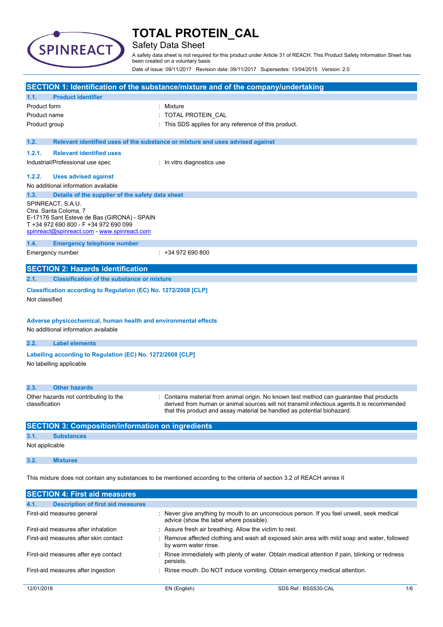

## Safety Data Sheet

A safety data sheet is not required for this product under Article 31 of REACH. This Product Safety Information Sheet has been created on a voluntary basis

Date of issue: 09/11/2017 Revision date: 09/11/2017 Supersedes: 13/04/2015 Version: 2.0

|                                                                                                                                                                                   | SECTION 1: Identification of the substance/mixture and of the company/undertaking                                                                                                                                                                                |
|-----------------------------------------------------------------------------------------------------------------------------------------------------------------------------------|------------------------------------------------------------------------------------------------------------------------------------------------------------------------------------------------------------------------------------------------------------------|
| <b>Product identifier</b><br>1.1.                                                                                                                                                 |                                                                                                                                                                                                                                                                  |
| Product form                                                                                                                                                                      | : Mixture                                                                                                                                                                                                                                                        |
| Product name                                                                                                                                                                      | : TOTAL PROTEIN_CAL                                                                                                                                                                                                                                              |
| Product group                                                                                                                                                                     | This SDS applies for any reference of this product.                                                                                                                                                                                                              |
| 1.2.                                                                                                                                                                              | Relevant identified uses of the substance or mixture and uses advised against                                                                                                                                                                                    |
| 1.2.1.<br><b>Relevant identified uses</b>                                                                                                                                         |                                                                                                                                                                                                                                                                  |
| Industrial/Professional use spec                                                                                                                                                  | : In vitro diagnostics use                                                                                                                                                                                                                                       |
| 1.2.2.<br><b>Uses advised against</b>                                                                                                                                             |                                                                                                                                                                                                                                                                  |
| No additional information available                                                                                                                                               |                                                                                                                                                                                                                                                                  |
| 1.3.<br>Details of the supplier of the safety data sheet                                                                                                                          |                                                                                                                                                                                                                                                                  |
| SPINREACT, S.A.U.<br>Ctra. Santa Coloma, 7<br>E-17176 Sant Esteve de Bas (GIRONA) - SPAIN<br>T +34 972 690 800 - F +34 972 690 099<br>spinreact@spinreact.com - www.spinreact.com |                                                                                                                                                                                                                                                                  |
| 1.4.<br><b>Emergency telephone number</b>                                                                                                                                         |                                                                                                                                                                                                                                                                  |
| Emergency number                                                                                                                                                                  | $: +34972690800$                                                                                                                                                                                                                                                 |
| <b>SECTION 2: Hazards identification</b>                                                                                                                                          |                                                                                                                                                                                                                                                                  |
| <b>Classification of the substance or mixture</b><br>2.1.                                                                                                                         |                                                                                                                                                                                                                                                                  |
| Classification according to Regulation (EC) No. 1272/2008 [CLP]<br>Not classified                                                                                                 |                                                                                                                                                                                                                                                                  |
| Adverse physicochemical, human health and environmental effects<br>No additional information available                                                                            |                                                                                                                                                                                                                                                                  |
| 2.2.<br><b>Label elements</b>                                                                                                                                                     |                                                                                                                                                                                                                                                                  |
| Labelling according to Regulation (EC) No. 1272/2008 [CLP]<br>No labelling applicable                                                                                             |                                                                                                                                                                                                                                                                  |
| 2.3.<br><b>Other hazards</b>                                                                                                                                                      |                                                                                                                                                                                                                                                                  |
| Other hazards not contributing to the<br>classification                                                                                                                           | Contains material from animal origin. No known test method can guarantee that products<br>derived from human or animal sources will not transmit infectious agents. It is recommended<br>that this product and assay material be handled as potential biohazard. |
| <b>SECTION 3: Composition/information on ingredients</b>                                                                                                                          |                                                                                                                                                                                                                                                                  |
| 3.1.<br><b>Substances</b>                                                                                                                                                         |                                                                                                                                                                                                                                                                  |
| Not applicable                                                                                                                                                                    |                                                                                                                                                                                                                                                                  |
| 3.2.<br><b>Mixtures</b>                                                                                                                                                           |                                                                                                                                                                                                                                                                  |
|                                                                                                                                                                                   | This mixture does not contain any substances to be mentioned according to the criteria of section 3.2 of REACH annex II                                                                                                                                          |
| <b>SECTION 4: First aid measures</b>                                                                                                                                              |                                                                                                                                                                                                                                                                  |
| <b>Description of first aid measures</b><br>4.1.                                                                                                                                  |                                                                                                                                                                                                                                                                  |
| First-aid measures general                                                                                                                                                        | Never give anything by mouth to an unconscious person. If you feel unwell, seek medical<br>advice (show the label where possible).                                                                                                                               |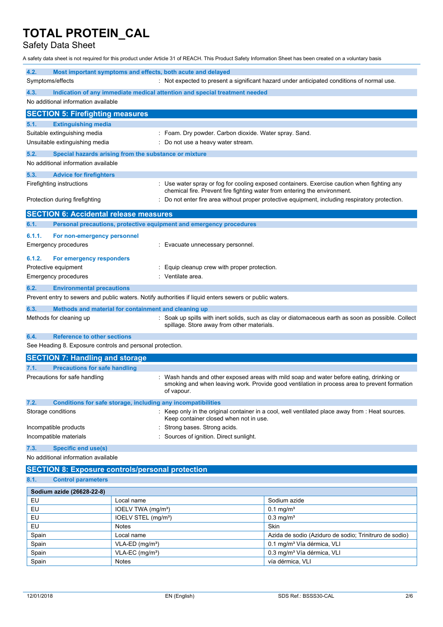Safety Data Sheet

A safety data sheet is not required for this product under Article 31 of REACH. This Product Safety Information Sheet has been created on a voluntary basis

| 4.2.                                                                               | Most important symptoms and effects, both acute and delayed                                             |                                                                                                                                                                                          |
|------------------------------------------------------------------------------------|---------------------------------------------------------------------------------------------------------|------------------------------------------------------------------------------------------------------------------------------------------------------------------------------------------|
| Symptoms/effects                                                                   |                                                                                                         | : Not expected to present a significant hazard under anticipated conditions of normal use.                                                                                               |
| 4.3.<br>Indication of any immediate medical attention and special treatment needed |                                                                                                         |                                                                                                                                                                                          |
| No additional information available                                                |                                                                                                         |                                                                                                                                                                                          |
|                                                                                    |                                                                                                         |                                                                                                                                                                                          |
| <b>SECTION 5: Firefighting measures</b>                                            |                                                                                                         |                                                                                                                                                                                          |
| <b>Extinguishing media</b><br>5.1.                                                 |                                                                                                         |                                                                                                                                                                                          |
| Suitable extinguishing media                                                       |                                                                                                         | : Foam. Dry powder. Carbon dioxide. Water spray. Sand.                                                                                                                                   |
| Unsuitable extinguishing media                                                     | : Do not use a heavy water stream.                                                                      |                                                                                                                                                                                          |
| 5.2.                                                                               | Special hazards arising from the substance or mixture                                                   |                                                                                                                                                                                          |
| No additional information available                                                |                                                                                                         |                                                                                                                                                                                          |
| 5.3.<br><b>Advice for firefighters</b>                                             |                                                                                                         |                                                                                                                                                                                          |
| Firefighting instructions                                                          |                                                                                                         | Use water spray or fog for cooling exposed containers. Exercise caution when fighting any                                                                                                |
|                                                                                    |                                                                                                         | chemical fire. Prevent fire fighting water from entering the environment.                                                                                                                |
| Protection during firefighting                                                     |                                                                                                         | Do not enter fire area without proper protective equipment, including respiratory protection.                                                                                            |
| <b>SECTION 6: Accidental release measures</b>                                      |                                                                                                         |                                                                                                                                                                                          |
| 6.1.                                                                               | Personal precautions, protective equipment and emergency procedures                                     |                                                                                                                                                                                          |
| 6.1.1.<br>For non-emergency personnel                                              |                                                                                                         |                                                                                                                                                                                          |
| <b>Emergency procedures</b>                                                        | : Evacuate unnecessary personnel.                                                                       |                                                                                                                                                                                          |
|                                                                                    |                                                                                                         |                                                                                                                                                                                          |
| 6.1.2.<br>For emergency responders                                                 |                                                                                                         |                                                                                                                                                                                          |
| Protective equipment                                                               | Equip cleanup crew with proper protection.                                                              |                                                                                                                                                                                          |
| <b>Emergency procedures</b>                                                        | : Ventilate area.                                                                                       |                                                                                                                                                                                          |
| 6.2.<br><b>Environmental precautions</b>                                           |                                                                                                         |                                                                                                                                                                                          |
|                                                                                    | Prevent entry to sewers and public waters. Notify authorities if liquid enters sewers or public waters. |                                                                                                                                                                                          |
| 6.3.                                                                               | Methods and material for containment and cleaning up                                                    |                                                                                                                                                                                          |
| Methods for cleaning up                                                            | spillage. Store away from other materials.                                                              | Soak up spills with inert solids, such as clay or diatomaceous earth as soon as possible. Collect                                                                                        |
| <b>Reference to other sections</b><br>6.4.                                         |                                                                                                         |                                                                                                                                                                                          |
| See Heading 8. Exposure controls and personal protection.                          |                                                                                                         |                                                                                                                                                                                          |
|                                                                                    |                                                                                                         |                                                                                                                                                                                          |
| <b>SECTION 7: Handling and storage</b>                                             |                                                                                                         |                                                                                                                                                                                          |
| <b>Precautions for safe handling</b><br>7.1.                                       |                                                                                                         |                                                                                                                                                                                          |
| Precautions for safe handling                                                      | of vapour.                                                                                              | : Wash hands and other exposed areas with mild soap and water before eating, drinking or<br>smoking and when leaving work. Provide good ventilation in process area to prevent formation |
| 7.2.                                                                               | <b>Conditions for safe storage, including any incompatibilities</b>                                     |                                                                                                                                                                                          |
| Storage conditions                                                                 | Keep container closed when not in use.                                                                  | Keep only in the original container in a cool, well ventilated place away from : Heat sources.                                                                                           |
| Incompatible products                                                              | Strong bases. Strong acids.                                                                             |                                                                                                                                                                                          |
| Incompatible materials                                                             | Sources of ignition. Direct sunlight.                                                                   |                                                                                                                                                                                          |
| <b>Specific end use(s)</b><br>7.3.                                                 |                                                                                                         |                                                                                                                                                                                          |
| No additional information available                                                |                                                                                                         |                                                                                                                                                                                          |
|                                                                                    | <b>SECTION 8: Exposure controls/personal protection</b>                                                 |                                                                                                                                                                                          |
| <b>Control parameters</b><br>8.1.                                                  |                                                                                                         |                                                                                                                                                                                          |
|                                                                                    |                                                                                                         |                                                                                                                                                                                          |
| Sodium azide (26628-22-8)                                                          |                                                                                                         |                                                                                                                                                                                          |
| EU<br>EU                                                                           | Local name<br>IOELV TWA (mg/m <sup>3</sup> )                                                            | Sodium azide<br>$0.1$ mg/m <sup>3</sup>                                                                                                                                                  |
| EU                                                                                 | IOELV STEL (mg/m <sup>3</sup> )                                                                         | $0.3$ mg/m <sup>3</sup>                                                                                                                                                                  |
| EU                                                                                 | <b>Notes</b>                                                                                            | Skin                                                                                                                                                                                     |
| Spain                                                                              | Local name                                                                                              | Azida de sodio (Aziduro de sodio; Trinitruro de sodio)                                                                                                                                   |
| Spain                                                                              | VLA-ED (mg/m <sup>3</sup> )                                                                             | 0.1 mg/m <sup>3</sup> Vía dérmica, VLI                                                                                                                                                   |

Spain VLA-EC (mg/m<sup>3</sup>) VLA-EC (mg/m<sup>3</sup>) 0.3 mg/m<sup>3</sup> Vía dérmica, VLI

Spain Notes Notes vía dérmica, VLI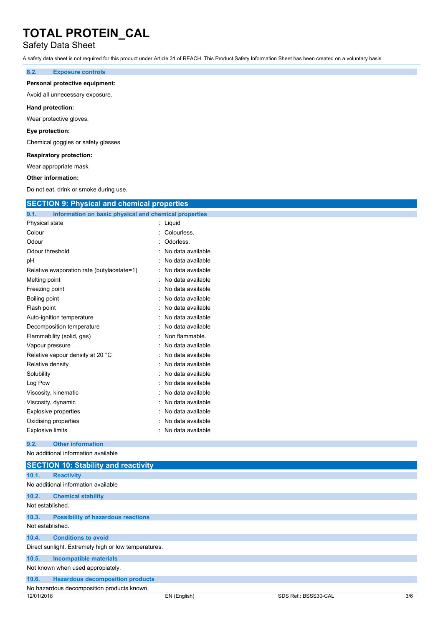## Safety Data Sheet

A safety data sheet is not required for this product under Article 31 of REACH. This Product Safety Information Sheet has been created on a voluntary basis

### **8.2. Exposure controls**

#### **Personal protective equipment:**

Avoid all unnecessary exposure.

#### **Hand protection:**

Wear protective gloves.

#### **Eye protection:**

Chemical goggles or safety glasses

### **Respiratory protection:**

Wear appropriate mask

#### **Other information:**

Do not eat, drink or smoke during use.

| <b>SECTION 9: Physical and chemical properties</b>            |                   |
|---------------------------------------------------------------|-------------------|
| Information on basic physical and chemical properties<br>9.1. |                   |
| Physical state                                                | : Liquid          |
| Colour                                                        | Colourless.       |
| Odour                                                         | Odorless.         |
| Odour threshold                                               | No data available |
| рH                                                            | No data available |
| Relative evaporation rate (butylacetate=1)                    | No data available |
| Melting point                                                 | No data available |
| Freezing point                                                | No data available |
| Boiling point                                                 | No data available |
| Flash point                                                   | No data available |
| Auto-ignition temperature                                     | No data available |
| Decomposition temperature                                     | No data available |
| Flammability (solid, gas)                                     | Non flammable.    |
| Vapour pressure                                               | No data available |
| Relative vapour density at 20 °C                              | No data available |
| Relative density                                              | No data available |
| Solubility                                                    | No data available |
| Log Pow                                                       | No data available |
| Viscosity, kinematic                                          | No data available |
| Viscosity, dynamic                                            | No data available |
| <b>Explosive properties</b>                                   | No data available |
| Oxidising properties                                          | No data available |
| <b>Explosive limits</b>                                       | No data available |
| <b>Other information</b><br>9.2.                              |                   |
| No additional information available                           |                   |
| <b>SECTION 10: Stability and reactivity</b>                   |                   |
| 10.1.<br><b>Reactivity</b>                                    |                   |
| No additional information available                           |                   |
| 10.2.<br><b>Chemical stability</b>                            |                   |
| Not established.                                              |                   |
| 10.3.<br><b>Possibility of hazardous reactions</b>            |                   |
| Not established.                                              |                   |

### **10.4. Conditions to avoid**

Direct sunlight. Extremely high or low temperatures.

### **10.5. Incompatible materials**

Not known when used appropiately.

| 10.6.<br><b>Hazardous decomposition products</b> |  |
|--------------------------------------------------|--|
|--------------------------------------------------|--|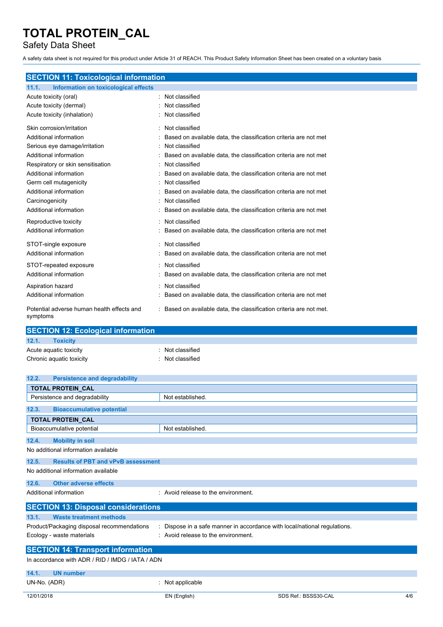Safety Data Sheet

A safety data sheet is not required for this product under Article 31 of REACH. This Product Safety Information Sheet has been created on a voluntary basis

|  |  | <b>SECTION 11: Toxicological information</b> |
|--|--|----------------------------------------------|
|  |  |                                              |

| Information on toxicological effects<br>11.1.          |                                                                     |
|--------------------------------------------------------|---------------------------------------------------------------------|
| Acute toxicity (oral)                                  | Not classified                                                      |
| Acute toxicity (dermal)                                | Not classified                                                      |
| Acute toxicity (inhalation)                            | Not classified                                                      |
| Skin corrosion/irritation                              | Not classified<br>۰                                                 |
| Additional information                                 | Based on available data, the classification criteria are not met    |
| Serious eye damage/irritation                          | Not classified                                                      |
| Additional information                                 | Based on available data, the classification criteria are not met    |
| Respiratory or skin sensitisation                      | Not classified                                                      |
| Additional information                                 | Based on available data, the classification criteria are not met    |
| Germ cell mutagenicity                                 | Not classified                                                      |
| Additional information                                 | Based on available data, the classification criteria are not met    |
| Carcinogenicity                                        | Not classified                                                      |
| Additional information                                 | Based on available data, the classification criteria are not met    |
| Reproductive toxicity                                  | Not classified                                                      |
| Additional information                                 | Based on available data, the classification criteria are not met    |
| STOT-single exposure                                   | Not classified<br>۰                                                 |
| Additional information                                 | Based on available data, the classification criteria are not met    |
| STOT-repeated exposure                                 | Not classified                                                      |
| Additional information                                 | Based on available data, the classification criteria are not met    |
| Aspiration hazard                                      | Not classified                                                      |
| Additional information                                 | Based on available data, the classification criteria are not met    |
| Potential adverse human health effects and<br>symptoms | : Based on available data, the classification criteria are not met. |

| <b>SECTION 12: Ecological information</b> |                  |
|-------------------------------------------|------------------|
| 12.1.<br><b>Toxicity</b>                  |                  |
| Acute aguatic toxicity                    | : Not classified |
| Chronic aquatic toxicity                  | Not classified   |

| 12.2.<br><b>Persistence and degradability</b>      |                                     |                                                                           |     |
|----------------------------------------------------|-------------------------------------|---------------------------------------------------------------------------|-----|
| TOTAL PROTEIN_CAL                                  |                                     |                                                                           |     |
| Persistence and degradability                      | Not established.                    |                                                                           |     |
| <b>Bioaccumulative potential</b><br>12.3.          |                                     |                                                                           |     |
| <b>TOTAL PROTEIN CAL</b>                           |                                     |                                                                           |     |
| Bioaccumulative potential                          | Not established.                    |                                                                           |     |
| <b>Mobility in soil</b><br>12.4.                   |                                     |                                                                           |     |
| No additional information available                |                                     |                                                                           |     |
| 12.5.<br><b>Results of PBT and vPvB assessment</b> |                                     |                                                                           |     |
| No additional information available                |                                     |                                                                           |     |
| <b>Other adverse effects</b><br>12.6.              |                                     |                                                                           |     |
| Additional information                             | : Avoid release to the environment. |                                                                           |     |
| <b>SECTION 13: Disposal considerations</b>         |                                     |                                                                           |     |
| 13.1.<br><b>Waste treatment methods</b>            |                                     |                                                                           |     |
| Product/Packaging disposal recommendations         |                                     | : Dispose in a safe manner in accordance with local/national regulations. |     |
| Ecology - waste materials                          | : Avoid release to the environment. |                                                                           |     |
| <b>SECTION 14: Transport information</b>           |                                     |                                                                           |     |
| In accordance with ADR / RID / IMDG / IATA / ADN   |                                     |                                                                           |     |
| 14.1.<br><b>UN number</b>                          |                                     |                                                                           |     |
| UN-No. (ADR)                                       | : Not applicable                    |                                                                           |     |
| 12/01/2018                                         | EN (English)                        | SDS Ref.: BSSS30-CAL                                                      | 4/6 |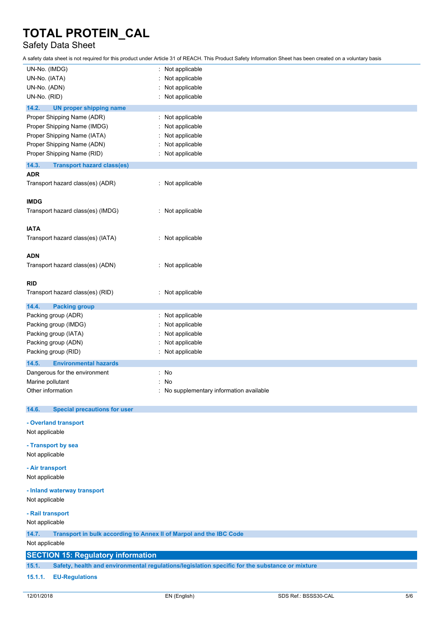## Safety Data Sheet

A safety data sheet is not required for this product under Article 31 of REACH. This Product Safety Information Sheet has been created on a voluntary basis

| UN-No. (IMDG)                                                               | Not applicable                                                                                 |
|-----------------------------------------------------------------------------|------------------------------------------------------------------------------------------------|
| UN-No. (IATA)                                                               | Not applicable                                                                                 |
| UN-No. (ADN)                                                                | Not applicable                                                                                 |
| UN-No. (RID)                                                                | Not applicable                                                                                 |
| 14.2.<br><b>UN proper shipping name</b>                                     |                                                                                                |
| Proper Shipping Name (ADR)                                                  | : Not applicable                                                                               |
| Proper Shipping Name (IMDG)                                                 | Not applicable                                                                                 |
| Proper Shipping Name (IATA)                                                 | Not applicable                                                                                 |
| Proper Shipping Name (ADN)                                                  | Not applicable                                                                                 |
| Proper Shipping Name (RID)                                                  | Not applicable                                                                                 |
|                                                                             |                                                                                                |
| 14.3.<br><b>Transport hazard class(es)</b><br><b>ADR</b>                    |                                                                                                |
| Transport hazard class(es) (ADR)                                            | : Not applicable                                                                               |
|                                                                             |                                                                                                |
| <b>IMDG</b>                                                                 |                                                                                                |
| Transport hazard class(es) (IMDG)                                           | : Not applicable                                                                               |
|                                                                             |                                                                                                |
| <b>IATA</b>                                                                 |                                                                                                |
| Transport hazard class(es) (IATA)                                           | : Not applicable                                                                               |
|                                                                             |                                                                                                |
| <b>ADN</b>                                                                  |                                                                                                |
| Transport hazard class(es) (ADN)                                            | : Not applicable                                                                               |
|                                                                             |                                                                                                |
| <b>RID</b>                                                                  |                                                                                                |
| Transport hazard class(es) (RID)                                            | : Not applicable                                                                               |
|                                                                             |                                                                                                |
| 14.4.<br><b>Packing group</b>                                               |                                                                                                |
| Packing group (ADR)                                                         | Not applicable                                                                                 |
| Packing group (IMDG)                                                        | Not applicable                                                                                 |
| Packing group (IATA)                                                        | Not applicable                                                                                 |
| Packing group (ADN)                                                         | Not applicable                                                                                 |
| Packing group (RID)                                                         | Not applicable                                                                                 |
| 14.5.<br><b>Environmental hazards</b>                                       |                                                                                                |
| Dangerous for the environment                                               | : No                                                                                           |
| Marine pollutant                                                            | No                                                                                             |
| Other information                                                           | No supplementary information available                                                         |
|                                                                             |                                                                                                |
| <b>Special precautions for user</b><br>14.6.                                |                                                                                                |
| - Overland transport                                                        |                                                                                                |
| Not applicable                                                              |                                                                                                |
|                                                                             |                                                                                                |
| - Transport by sea                                                          |                                                                                                |
| Not applicable                                                              |                                                                                                |
| - Air transport                                                             |                                                                                                |
| Not applicable                                                              |                                                                                                |
|                                                                             |                                                                                                |
| - Inland waterway transport                                                 |                                                                                                |
| Not applicable                                                              |                                                                                                |
| - Rail transport                                                            |                                                                                                |
| Not applicable                                                              |                                                                                                |
| Transport in bulk according to Annex II of Marpol and the IBC Code<br>14.7. |                                                                                                |
| Not applicable                                                              |                                                                                                |
| <b>SECTION 15: Regulatory information</b>                                   |                                                                                                |
|                                                                             |                                                                                                |
| 15.1.                                                                       | Safety, health and environmental regulations/legislation specific for the substance or mixture |
| <b>EU-Regulations</b><br>15.1.1.                                            |                                                                                                |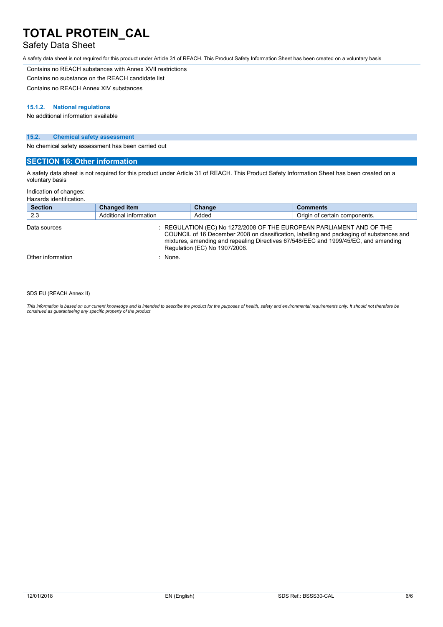## Safety Data Sheet

A safety data sheet is not required for this product under Article 31 of REACH. This Product Safety Information Sheet has been created on a voluntary basis

Contains no REACH substances with Annex XVII restrictions

Contains no substance on the REACH candidate list

Contains no REACH Annex XIV substances

#### **15.1.2. National regulations**

No additional information available

### **15.2. Chemical safety assessment**

No chemical safety assessment has been carried out

### **SECTION 16: Other information**

A safety data sheet is not required for this product under Article 31 of REACH. This Product Safety Information Sheet has been created on a voluntary basis

Indication of changes:

Hazards identification.

| <b>Section</b>    | <b>Changed item</b>    | Change                                                                                                | <b>Comments</b>                                                                                                                                                                 |
|-------------------|------------------------|-------------------------------------------------------------------------------------------------------|---------------------------------------------------------------------------------------------------------------------------------------------------------------------------------|
| 2.3               | Additional information | Added                                                                                                 | Origin of certain components.                                                                                                                                                   |
| Data sources      |                        | : REGULATION (EC) No 1272/2008 OF THE EUROPEAN PARLIAMENT AND OF THE<br>Regulation (EC) No 1907/2006. | COUNCIL of 16 December 2008 on classification, labelling and packaging of substances and<br>mixtures, amending and repealing Directives 67/548/EEC and 1999/45/EC, and amending |
| Other information | $:$ None.              |                                                                                                       |                                                                                                                                                                                 |
|                   |                        |                                                                                                       |                                                                                                                                                                                 |

#### SDS EU (REACH Annex II)

This information is based on our current knowledge and is intended to describe the product for the purposes of health, safety and environmental requirements only. It should not therefore be<br>construed as guaranteeing any sp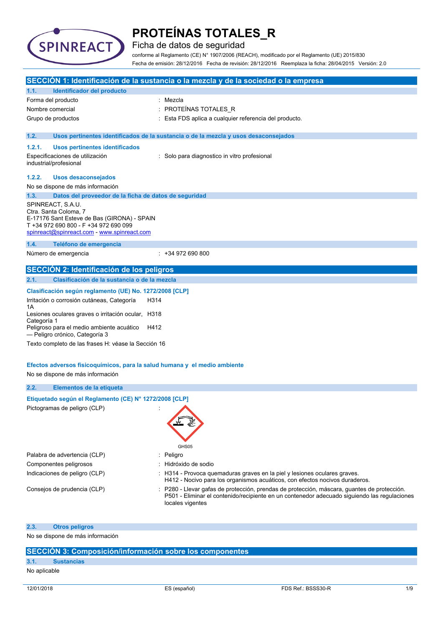

Ficha de datos de seguridad

conforme al Reglamento (CE) N° 1907/2006 (REACH), modificado por el Reglamento (UE) 2015/830 Fecha de emisión: 28/12/2016 Fecha de revisión: 28/12/2016 Reemplaza la ficha: 28/04/2015 Versión: 2.0

|                   |                                                                                                                                                                                   | SECCIÓN 1: Identificación de la sustancia o la mezcla y de la sociedad o la empresa                                                                                                                           |
|-------------------|-----------------------------------------------------------------------------------------------------------------------------------------------------------------------------------|---------------------------------------------------------------------------------------------------------------------------------------------------------------------------------------------------------------|
| 1.1.              | Identificador del producto                                                                                                                                                        |                                                                                                                                                                                                               |
|                   | Forma del producto                                                                                                                                                                | : Mezcla                                                                                                                                                                                                      |
| Nombre comercial  |                                                                                                                                                                                   | : PROTEÍNAS TOTALES_R                                                                                                                                                                                         |
|                   | Grupo de productos                                                                                                                                                                | : Esta FDS aplica a cualquier referencia del producto.                                                                                                                                                        |
| 1.2.              |                                                                                                                                                                                   | Usos pertinentes identificados de la sustancia o de la mezcla y usos desaconsejados                                                                                                                           |
| 1.2.1.            | Usos pertinentes identificados                                                                                                                                                    |                                                                                                                                                                                                               |
|                   | Especificaciones de utilización<br>industrial/profesional                                                                                                                         | : Solo para diagnostico in vitro profesional                                                                                                                                                                  |
| 1.2.2.            | <b>Usos desaconsejados</b>                                                                                                                                                        |                                                                                                                                                                                                               |
|                   | No se dispone de más información                                                                                                                                                  |                                                                                                                                                                                                               |
| 1.3.              | Datos del proveedor de la ficha de datos de seguridad                                                                                                                             |                                                                                                                                                                                                               |
|                   | SPINREACT, S.A.U.<br>Ctra. Santa Coloma, 7<br>E-17176 Sant Esteve de Bas (GIRONA) - SPAIN<br>T +34 972 690 800 - F +34 972 690 099<br>spinreact@spinreact.com - www.spinreact.com |                                                                                                                                                                                                               |
| 1.4.              | Teléfono de emergencia                                                                                                                                                            |                                                                                                                                                                                                               |
|                   | Número de emergencia                                                                                                                                                              | $: +34972690800$                                                                                                                                                                                              |
|                   | <b>SECCIÓN 2: Identificación de los peligros</b>                                                                                                                                  |                                                                                                                                                                                                               |
| 2.1.              | Clasificación de la sustancia o de la mezcla                                                                                                                                      |                                                                                                                                                                                                               |
|                   | Clasificación según reglamento (UE) No. 1272/2008 [CLP]                                                                                                                           |                                                                                                                                                                                                               |
| 1Α<br>Categoría 1 | Irritación o corrosión cutáneas, Categoría<br>H314<br>Lesiones oculares graves o irritación ocular, H318                                                                          |                                                                                                                                                                                                               |
|                   | Peligroso para el medio ambiente acuático<br>H412<br>- Peligro crónico, Categoría 3                                                                                               |                                                                                                                                                                                                               |
|                   | Texto completo de las frases H: véase la Sección 16                                                                                                                               |                                                                                                                                                                                                               |
|                   | Efectos adversos fisicoquímicos, para la salud humana y el medio ambiente                                                                                                         |                                                                                                                                                                                                               |
|                   | No se dispone de más información                                                                                                                                                  |                                                                                                                                                                                                               |
| 2.2.              | Elementos de la etiqueta                                                                                                                                                          |                                                                                                                                                                                                               |
|                   | Etiquetado según el Reglamento (CE) Nº 1272/2008 [CLP]                                                                                                                            |                                                                                                                                                                                                               |
|                   | Pictogramas de peligro (CLP)                                                                                                                                                      | GHS05                                                                                                                                                                                                         |
|                   | Palabra de advertencia (CLP)                                                                                                                                                      | : Peligro                                                                                                                                                                                                     |
|                   | Componentes peligrosos                                                                                                                                                            | Hidróxido de sodio                                                                                                                                                                                            |
|                   | Indicaciones de peligro (CLP)                                                                                                                                                     | : H314 - Provoca quemaduras graves en la piel y lesiones oculares graves.<br>H412 - Nocivo para los organismos acuáticos, con efectos nocivos duraderos.                                                      |
|                   | Consejos de prudencia (CLP)                                                                                                                                                       | P280 - Llevar gafas de protección, prendas de protección, máscara, guantes de protección.<br>P501 - Eliminar el contenido/recipiente en un contenedor adecuado siguiendo las regulaciones<br>locales vigentes |
| 2.3.              | <b>Otros peligros</b>                                                                                                                                                             |                                                                                                                                                                                                               |
|                   | No se dispone de más información                                                                                                                                                  |                                                                                                                                                                                                               |

### **SECCIÓN 3: Composición/información sobre los componentes**

### **3.1. Sustancias**

No aplicable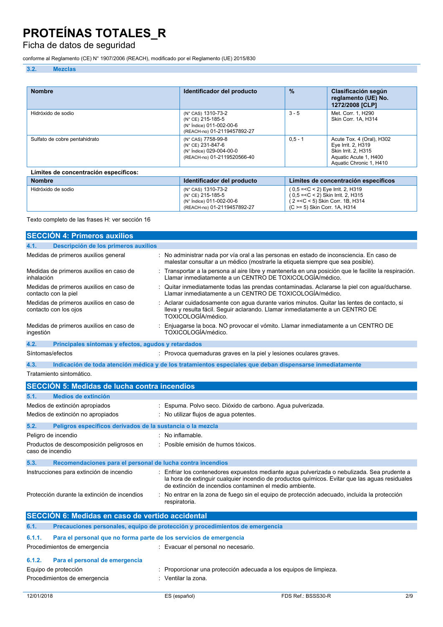## Ficha de datos de seguridad

conforme al Reglamento (CE) N° 1907/2006 (REACH), modificado por el Reglamento (UE) 2015/830

### **3.2. Mezclas**

| <b>Nombre</b>                         | Identificador del producto                                                                         | $\frac{9}{6}$ | Clasificación según<br>reglamento (UE) No.<br>1272/2008 [CLP]                                                              |
|---------------------------------------|----------------------------------------------------------------------------------------------------|---------------|----------------------------------------------------------------------------------------------------------------------------|
| Hidróxido de sodio                    | (N° CAS) 1310-73-2<br>(N° CE) 215-185-5<br>(N° Índice) 011-002-00-6<br>(REACH-no) 01-2119457892-27 | $3 - 5$       | Met. Corr. 1, H290<br>Skin Corr. 1A, H314                                                                                  |
| Sulfato de cobre pentahidrato         | (N° CAS) 7758-99-8<br>(N° CE) 231-847-6<br>(N° Índice) 029-004-00-0<br>(REACH-no) 01-2119520566-40 | $0.5 - 1$     | Acute Tox. 4 (Oral), H302<br>Eye Irrit. 2, H319<br>Skin Irrit. 2. H315<br>Aquatic Acute 1, H400<br>Aquatic Chronic 1, H410 |
| Límites de concentración específicos: |                                                                                                    |               |                                                                                                                            |
| <b>Nombre</b>                         | Identificador del producto                                                                         |               | Límites de concentración específicos                                                                                       |
| Hidróxido de sodio                    | (N° CAS) 1310-73-2<br>(N° CE) 215-185-5<br>(N° Índice) 011-002-00-6                                |               | $(0.5 = < C < 2)$ Eye Irrit. 2, H319<br>(0,5 = < C < 2) Skin Irrit. 2, H315<br>(2 = < C < 5) Skin Corr. 1B, H314           |

(REACH-no) 01-2119457892-27

Texto completo de las frases H: ver sección 16

| <b>SECCIÓN 4: Primeros auxilios</b>                                |                                                                                                                                                                                                                                                        |
|--------------------------------------------------------------------|--------------------------------------------------------------------------------------------------------------------------------------------------------------------------------------------------------------------------------------------------------|
| 4.1.<br>Descripción de los primeros auxilios                       |                                                                                                                                                                                                                                                        |
| Medidas de primeros auxilios general                               | No administrar nada por vía oral a las personas en estado de inconsciencia. En caso de<br>malestar consultar a un médico (mostrarle la etiqueta siempre que sea posible).                                                                              |
| Medidas de primeros auxilios en caso de<br>inhalación              | Transportar a la persona al aire libre y mantenerla en una posición que le facilite la respiración.<br>Llamar inmediatamente a un CENTRO DE TOXICOLOGÍA/médico.                                                                                        |
| Medidas de primeros auxilios en caso de<br>contacto con la piel    | Quitar inmediatamente todas las prendas contaminadas. Aclararse la piel con agua/ducharse.<br>Llamar inmediatamente a un CENTRO DE TOXICOLOGÍA/médico.                                                                                                 |
| Medidas de primeros auxilios en caso de<br>contacto con los ojos   | Aclarar cuidadosamente con agua durante varios minutos. Quitar las lentes de contacto, si<br>lleva y resulta fácil. Seguir aclarando. Llamar inmediatamente a un CENTRO DE<br>TOXICOLOGÍA/médico.                                                      |
| Medidas de primeros auxilios en caso de<br>ingestión               | Enjuagarse la boca. NO provocar el vómito. Llamar inmediatamente a un CENTRO DE<br>TOXICOLOGÍA/médico.                                                                                                                                                 |
| 4.2.<br>Principales síntomas y efectos, agudos y retardados        |                                                                                                                                                                                                                                                        |
| Síntomas/efectos                                                   | : Provoca quemaduras graves en la piel y lesiones oculares graves.                                                                                                                                                                                     |
| 4.3.                                                               | Indicación de toda atención médica y de los tratamientos especiales que deban dispensarse inmediatamente                                                                                                                                               |
| Tratamiento sintomático.                                           |                                                                                                                                                                                                                                                        |
| SECCIÓN 5: Medidas de lucha contra incendios                       |                                                                                                                                                                                                                                                        |
| 5.1.<br>Medios de extinción                                        |                                                                                                                                                                                                                                                        |
| Medios de extinción apropiados                                     | Espuma. Polvo seco. Dióxido de carbono. Agua pulverizada.                                                                                                                                                                                              |
| Medios de extinción no apropiados                                  | No utilizar flujos de agua potentes.                                                                                                                                                                                                                   |
| Peligros específicos derivados de la sustancia o la mezcla<br>5.2. |                                                                                                                                                                                                                                                        |
| Peligro de incendio                                                | $:$ No inflamable.                                                                                                                                                                                                                                     |
| Productos de descomposición peligrosos en<br>caso de incendio      | Posible emisión de humos tóxicos.                                                                                                                                                                                                                      |
| 5.3.<br>Recomendaciones para el personal de lucha contra incendios |                                                                                                                                                                                                                                                        |
| Instrucciones para extinción de incendio                           | Enfriar los contenedores expuestos mediante agua pulverizada o nebulizada. Sea prudente a<br>la hora de extinguir cualquier incendio de productos químicos. Evitar que las aguas residuales<br>de extinción de incendios contaminen el medio ambiente. |
| Protección durante la extinción de incendios                       | No entrar en la zona de fuego sin el equipo de protección adecuado, incluida la protección<br>respiratoria.                                                                                                                                            |

## **SECCIÓN 6: Medidas en caso de vertido accidental**

|        | IULUUIUN U. MEUNGS EN CASU UE VEINUU ACCIUENIAI                    |                                                                              |
|--------|--------------------------------------------------------------------|------------------------------------------------------------------------------|
| 6.1.   |                                                                    | Precauciones personales, equipo de protección y procedimientos de emergencia |
| 6.1.1. | Para el personal que no forma parte de los servicios de emergencia |                                                                              |
|        | Procedimientos de emergencia                                       | : Evacuar el personal no necesario.                                          |
| 6.1.2. | Para el personal de emergencia                                     |                                                                              |
|        | Equipo de protección                                               | : Proporcionar una protección adecuada a los equipos de limpieza.            |
|        | Procedimientos de emergencia                                       | : Ventilar la zona.                                                          |

(C >= 5) Skin Corr. 1A, H314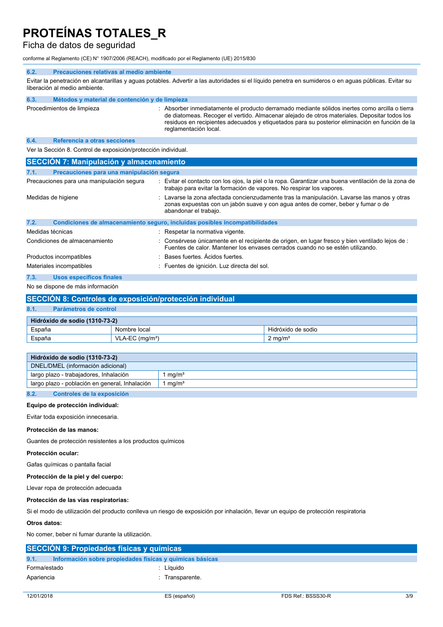## Ficha de datos de seguridad

conforme al Reglamento (CE) N° 1907/2006 (REACH), modificado por el Reglamento (UE) 2015/830

#### **6.2. Precauciones relativas al medio ambiente**

Evitar la penetración en alcantarillas y aguas potables. Advertir a las autoridades si el líquido penetra en sumideros o en aguas públicas. Evitar su liberación al medio ambiente.

| 6.3. | Métodos y material de contención y de limpieza |                                                                                                                                                                                                                                                                                                                           |
|------|------------------------------------------------|---------------------------------------------------------------------------------------------------------------------------------------------------------------------------------------------------------------------------------------------------------------------------------------------------------------------------|
|      | Procedimientos de limpieza                     | : Absorber inmediatamente el producto derramado mediante sólidos inertes como arcilla o tierra<br>de diatomeas. Recoger el vertido. Almacenar alejado de otros materiales. Depositar todos los<br>residuos en recipientes adecuados y etiquetados para su posterior eliminación en función de la<br>reglamentación local. |

#### **6.4. Referencia a otras secciones**

Ver la Sección 8. Control de exposición/protección individual.

| <b>SECCIÓN 7: Manipulación y almacenamiento</b>   |                                                                                                                                                                                                          |
|---------------------------------------------------|----------------------------------------------------------------------------------------------------------------------------------------------------------------------------------------------------------|
| 7.1.<br>Precauciones para una manipulación segura |                                                                                                                                                                                                          |
| Precauciones para una manipulación segura         | : Evitar el contacto con los ojos, la piel o la ropa. Garantizar una buena ventilación de la zona de<br>trabajo para evitar la formación de vapores. No respirar los vapores.                            |
| Medidas de higiene                                | : Lavarse la zona afectada concienzudamente tras la manipulación. Lavarse las manos y otras<br>zonas expuestas con un jabón suave y con agua antes de comer, beber y fumar o de<br>abandonar el trabajo. |
| 7.2.                                              | Condiciones de almacenamiento seguro, incluidas posibles incompatibilidades                                                                                                                              |
| Medidas técnicas                                  | : Respetar la normativa vigente.                                                                                                                                                                         |
| Condiciones de almacenamiento                     | $\therefore$ Consérvese únicamente en el recipiente de origen, en lugar fresco y bien ventilado lejos de $\therefore$<br>Fuentes de calor. Mantener los envases cerrados cuando no se estén utilizando.  |
| Productos incompatibles                           | : Bases fuertes. Acidos fuertes.                                                                                                                                                                         |
| Materiales incompatibles                          | : Fuentes de ignición. Luz directa del sol.                                                                                                                                                              |
| 7.3.<br><b>Usos específicos finales</b>           |                                                                                                                                                                                                          |
|                                                   |                                                                                                                                                                                                          |

#### No se dispone de más información

|        | SECCIÓN 8: Controles de exposición/protección individual |                               |                    |  |
|--------|----------------------------------------------------------|-------------------------------|--------------------|--|
| 8.1.   | Parámetros de control                                    |                               |                    |  |
|        | Hidróxido de sodio (1310-73-2)                           |                               |                    |  |
|        | España<br>Hidróxido de sodio<br>Nombre local             |                               |                    |  |
| España |                                                          | $VLA-EC$ (mg/m <sup>3</sup> ) | $2 \text{ mg/m}^3$ |  |

| Hidróxido de sodio (1310-73-2)                 |                   |
|------------------------------------------------|-------------------|
| DNEL/DMEL (información adicional)              |                   |
| largo plazo - trabajadores, Inhalación         | ma/m <sup>3</sup> |
| largo plazo - población en general, Inhalación | mq/m <sup>3</sup> |

### **8.2. Controles de la exposición**

#### **Equipo de protección individual:**

Evitar toda exposición innecesaria.

#### **Protección de las manos:**

Guantes de protección resistentes a los productos químicos

#### **Protección ocular:**

Gafas químicas o pantalla facial

### **Protección de la piel y del cuerpo:**

Llevar ropa de protección adecuada

### **Protección de las vías respiratorias:**

Si el modo de utilización del producto conlleva un riesgo de exposición por inhalación, llevar un equipo de protección respiratoria

#### **Otros datos:**

No comer, beber ni fumar durante la utilización.

|              | SECCIÓN 9: Propiedades físicas y químicas                |               |  |
|--------------|----------------------------------------------------------|---------------|--|
| 9.1.         | Información sobre propiedades físicas y químicas básicas |               |  |
| Forma/estado |                                                          | Líauido       |  |
| Apariencia   |                                                          | Transparente. |  |
|              |                                                          |               |  |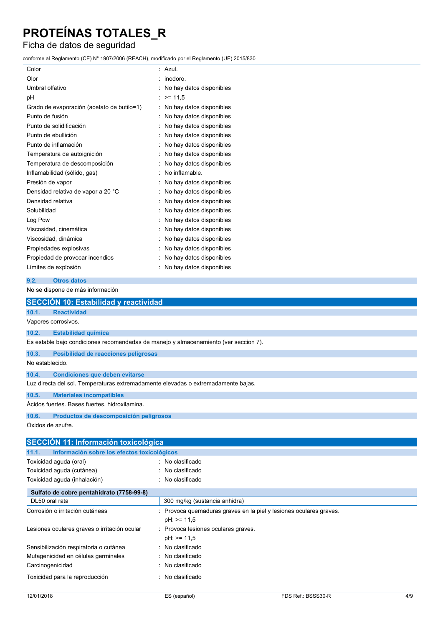## Ficha de datos de seguridad

conforme al Reglamento (CE) N° 1907/2006 (REACH), modificado por el Reglamento (UE) 2015/830

| Color                                      | Azul.                    |
|--------------------------------------------|--------------------------|
| Olor                                       | inodoro.                 |
| Umbral olfativo                            | No hay datos disponibles |
| рH                                         | $>= 11.5$                |
| Grado de evaporación (acetato de butilo=1) | No hay datos disponibles |
| Punto de fusión                            | No hay datos disponibles |
| Punto de solidificación                    | No hay datos disponibles |
| Punto de ebullición                        | No hay datos disponibles |
| Punto de inflamación                       | No hay datos disponibles |
| Temperatura de autoignición                | No hay datos disponibles |
| Temperatura de descomposición              | No hay datos disponibles |
| Inflamabilidad (sólido, gas)               | No inflamable.           |
| Presión de vapor                           | No hay datos disponibles |
| Densidad relativa de vapor a 20 °C         | No hay datos disponibles |
| Densidad relativa                          | No hay datos disponibles |
| Solubilidad                                | No hay datos disponibles |
| Log Pow                                    | No hay datos disponibles |
| Viscosidad, cinemática                     | No hay datos disponibles |
| Viscosidad, dinámica                       | No hay datos disponibles |
| Propiedades explosivas                     | No hay datos disponibles |
| Propiedad de provocar incendios            | No hay datos disponibles |
| Límites de explosión                       | No hay datos disponibles |

#### **9.2. Otros datos**

No se dispone de más información

|                   | <b>SECCIÓN 10: Estabilidad y reactividad</b>                                         |
|-------------------|--------------------------------------------------------------------------------------|
| 10.1.             | <b>Reactividad</b>                                                                   |
|                   | Vapores corrosivos.                                                                  |
| 10.2.             | <b>Estabilidad química</b>                                                           |
|                   | Es estable bajo condiciones recomendadas de manejo y almacenamiento (ver seccion 7). |
| 10.3.             | Posibilidad de reacciones peligrosas                                                 |
| No establecido.   |                                                                                      |
| 10.4.             | <b>Condiciones que deben evitarse</b>                                                |
|                   | Luz directa del sol. Temperaturas extremadamente elevadas o extremadamente bajas.    |
| 10.5.             | <b>Materiales incompatibles</b>                                                      |
|                   | Ácidos fuertes. Bases fuertes, hidroxilamina.                                        |
| 10.6.             | Productos de descomposición peligrosos                                               |
| Óxidos de azufre. |                                                                                      |
|                   | SECCIÓN 11 <sup>-</sup> Información toxicológica                                     |

**SECCIÓN 11: Información toxicológica 11.1. Información sobre los efectos toxicológicos** Toxicidad aguda (oral) : No clasificado Toxicidad aguda (cutánea) : No clasificado Toxicidad aguda (inhalación) : No clasificado **Sulfato de cobre pentahidrato (7758-99-8)** DL50 oral rata 300 mg/kg (sustancia anhidra) Corrosión o irritación cutáneas : Provoca quemaduras graves en la piel y lesiones oculares graves. pH: >= 11,5 Lesiones oculares graves o irritación ocular : Provoca lesiones oculares graves. pH: >= 11,5 Sensibilización respiratoria o cutánea : No clasificado Mutagenicidad en células germinales : No clasificado Carcinogenicidad : No clasificado Toxicidad para la reproducción : No clasificado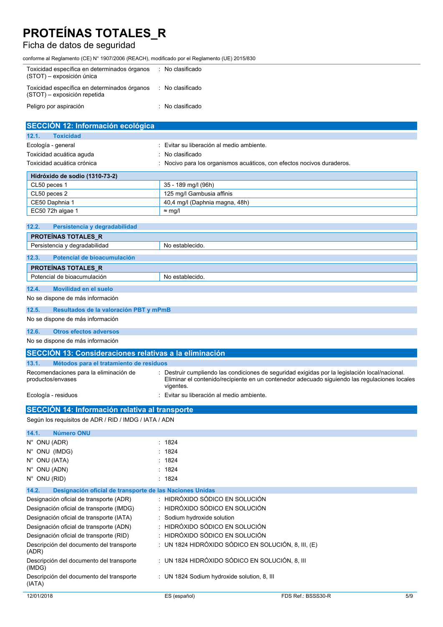## Ficha de datos de seguridad

conforme al Reglamento (CE) N° 1907/2006 (REACH), modificado por el Reglamento (UE) 2015/830

| Toxicidad específica en determinados órganos<br>(STOT) - exposición única    | : No clasificado |
|------------------------------------------------------------------------------|------------------|
| Toxicidad específica en determinados órganos<br>(STOT) – exposición repetida | : No clasificado |
| Peligro por aspiración                                                       | : No clasificado |

| <b>SECCIÓN 12: Información ecológica</b>                          |                                                                                                                                                                                                 |
|-------------------------------------------------------------------|-------------------------------------------------------------------------------------------------------------------------------------------------------------------------------------------------|
| <b>Toxicidad</b><br>12.1.                                         |                                                                                                                                                                                                 |
| Ecología - general                                                | Evitar su liberación al medio ambiente.                                                                                                                                                         |
| Toxicidad acuática aguda                                          | No clasificado                                                                                                                                                                                  |
| Toxicidad acuática crónica                                        | Nocivo para los organismos acuáticos, con efectos nocivos duraderos.                                                                                                                            |
| Hidróxido de sodio (1310-73-2)                                    |                                                                                                                                                                                                 |
| CL50 peces 1                                                      | 35 - 189 mg/l (96h)                                                                                                                                                                             |
| CL50 peces 2                                                      | 125 mg/l Gambusia affinis                                                                                                                                                                       |
| CE50 Daphnia 1                                                    | 40,4 mg/l (Daphnia magna, 48h)                                                                                                                                                                  |
| EC50 72h algae 1                                                  | $\approx$ mg/l                                                                                                                                                                                  |
| 12.2.<br>Persistencia y degradabilidad                            |                                                                                                                                                                                                 |
| <b>PROTEINAS TOTALES R</b>                                        |                                                                                                                                                                                                 |
| Persistencia y degradabilidad                                     | No establecido.                                                                                                                                                                                 |
| 12.3.<br>Potencial de bioacumulación                              |                                                                                                                                                                                                 |
| <b>PROTEINAS TOTALES_R</b>                                        |                                                                                                                                                                                                 |
| Potencial de bioacumulación                                       | No establecido.                                                                                                                                                                                 |
| <b>Movilidad en el suelo</b><br>12.4.                             |                                                                                                                                                                                                 |
| No se dispone de más información                                  |                                                                                                                                                                                                 |
| 12.5.<br>Resultados de la valoración PBT y mPmB                   |                                                                                                                                                                                                 |
| No se dispone de más información                                  |                                                                                                                                                                                                 |
| 12.6.<br><b>Otros efectos adversos</b>                            |                                                                                                                                                                                                 |
| No se dispone de más información                                  |                                                                                                                                                                                                 |
| <b>SECCIÓN 13: Consideraciones relativas a la eliminación</b>     |                                                                                                                                                                                                 |
|                                                                   |                                                                                                                                                                                                 |
| 13.1.<br>Métodos para el tratamiento de residuos                  |                                                                                                                                                                                                 |
| Recomendaciones para la eliminación de<br>productos/envases       | : Destruir cumpliendo las condiciones de seguridad exigidas por la legislación local/nacional.<br>Eliminar el contenido/recipiente en un contenedor adecuado siguiendo las regulaciones locales |
| Ecología - residuos                                               | vigentes.<br>Evitar su liberación al medio ambiente.                                                                                                                                            |
| SECCIÓN 14: Información relativa al transporte                    |                                                                                                                                                                                                 |
| Según los requisitos de ADR / RID / IMDG / IATA / ADN             |                                                                                                                                                                                                 |
| 14.1.<br><b>Número ONU</b>                                        |                                                                                                                                                                                                 |
| N° ONU (ADR)                                                      | : 1824                                                                                                                                                                                          |
| N° ONU (IMDG)                                                     | 1824                                                                                                                                                                                            |
| N° ONU (IATA)                                                     | : 1824                                                                                                                                                                                          |
| N° ONU (ADN)                                                      | 1824                                                                                                                                                                                            |
| $N^{\circ}$ ONU (RID)                                             | : 1824                                                                                                                                                                                          |
| Designación oficial de transporte de las Naciones Unidas<br>14.2. |                                                                                                                                                                                                 |
| Designación oficial de transporte (ADR)                           | : HIDRÓXIDO SÓDICO EN SOLUCIÓN                                                                                                                                                                  |
| Designación oficial de transporte (IMDG)                          | : HIDRÓXIDO SÓDICO EN SOLUCIÓN                                                                                                                                                                  |
| Designación oficial de transporte (IATA)                          | Sodium hydroxide solution                                                                                                                                                                       |
| Designación oficial de transporte (ADN)                           | HIDRÓXIDO SÓDICO EN SOLUCIÓN                                                                                                                                                                    |
| Designación oficial de transporte (RID)                           | HIDRÓXIDO SÓDICO EN SOLUCIÓN                                                                                                                                                                    |
| Descripción del documento del transporte<br>(ADR)                 | : UN 1824 HIDRÓXIDO SÓDICO EN SOLUCIÓN, 8, III, (E)                                                                                                                                             |
| Descripción del documento del transporte<br>(IMDG)                | : UN 1824 HIDRÓXIDO SÓDICO EN SOLUCIÓN, 8, III                                                                                                                                                  |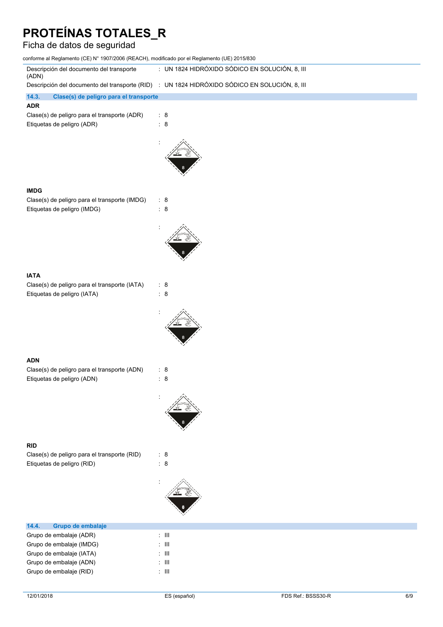## Ficha de datos de seguridad

| conforme al Reglamento (CE) Nº 1907/2006 (REACH), modificado por el Reglamento (UE) 2015/830  |                                                |                    |     |
|-----------------------------------------------------------------------------------------------|------------------------------------------------|--------------------|-----|
| Descripción del documento del transporte<br>(ADN)                                             | : UN 1824 HIDRÓXIDO SÓDICO EN SOLUCIÓN, 8, III |                    |     |
| Descripción del documento del transporte (RID) : UN 1824 HIDRÓXIDO SÓDICO EN SOLUCIÓN, 8, III |                                                |                    |     |
| 14.3.<br>Clase(s) de peligro para el transporte                                               |                                                |                    |     |
| <b>ADR</b><br>Clase(s) de peligro para el transporte (ADR)<br>Etiquetas de peligro (ADR)      | $\therefore$ 8<br>: 8                          |                    |     |
|                                                                                               |                                                |                    |     |
| <b>IMDG</b><br>Clase(s) de peligro para el transporte (IMDG)<br>Etiquetas de peligro (IMDG)   | : 8<br>$\therefore$ 8                          |                    |     |
|                                                                                               |                                                |                    |     |
| <b>IATA</b><br>Clase(s) de peligro para el transporte (IATA)<br>Etiquetas de peligro (IATA)   | $\therefore$ 8<br>$\therefore$ 8               |                    |     |
|                                                                                               |                                                |                    |     |
| <b>ADN</b><br>Clase(s) de peligro para el transporte (ADN)<br>Etiquetas de peligro (ADN)      | $\therefore$ 8<br>$\therefore$ 8               |                    |     |
|                                                                                               |                                                |                    |     |
| <b>RID</b>                                                                                    |                                                |                    |     |
| Clase(s) de peligro para el transporte (RID)<br>Etiquetas de peligro (RID)                    | : 8<br>$\therefore$ 8                          |                    |     |
|                                                                                               |                                                |                    |     |
| 14.4.<br>Grupo de embalaje                                                                    |                                                |                    |     |
| Grupo de embalaje (ADR)                                                                       | $\lesssim 10$                                  |                    |     |
| Grupo de embalaje (IMDG)                                                                      | $\lesssim 10$                                  |                    |     |
| Grupo de embalaje (IATA)<br>Grupo de embalaje (ADN)                                           | $\colon$ III<br>$\div$ III                     |                    |     |
| Grupo de embalaje (RID)                                                                       | $\div$ III                                     |                    |     |
| 12/01/2018                                                                                    | ES (español)                                   | FDS Ref.: BSSS30-R | 6/9 |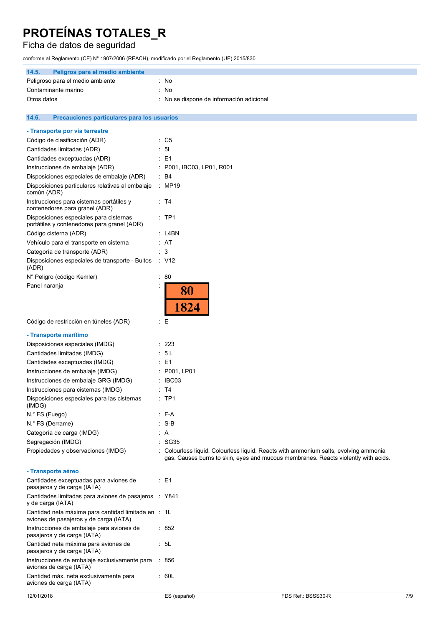## Ficha de datos de seguridad

conforme al Reglamento (CE) N° 1907/2006 (REACH), modificado por el Reglamento (UE) 2015/830

| 14.5.<br>Peligros para el medio ambiente                                                      |                 |                                                                                      |
|-----------------------------------------------------------------------------------------------|-----------------|--------------------------------------------------------------------------------------|
| Peligroso para el medio ambiente                                                              | : No            |                                                                                      |
| Contaminante marino                                                                           | : No            |                                                                                      |
| Otros datos                                                                                   |                 | : No se dispone de información adicional                                             |
|                                                                                               |                 |                                                                                      |
| 14.6.<br>Precauciones particulares para los usuarios                                          |                 |                                                                                      |
| - Transporte por vía terrestre                                                                |                 |                                                                                      |
| Código de clasificación (ADR)                                                                 | $\therefore$ C5 |                                                                                      |
| Cantidades limitadas (ADR)                                                                    | $\therefore$ 51 |                                                                                      |
| Cantidades exceptuadas (ADR)                                                                  | : E1            |                                                                                      |
| Instrucciones de embalaje (ADR)                                                               |                 | : P001, IBC03, LP01, R001                                                            |
| Disposiciones especiales de embalaje (ADR)                                                    | $\therefore$ B4 |                                                                                      |
| Disposiciones particulares relativas al embalaje<br>común (ADR)                               |                 | : MP19                                                                               |
| Instrucciones para cisternas portátiles y<br>contenedores para granel (ADR)                   | : T4            |                                                                                      |
| Disposiciones especiales para cisternas<br>portátiles y contenedores para granel (ADR)        | $:$ TP1         |                                                                                      |
| Código cisterna (ADR)                                                                         |                 | : L4BN                                                                               |
| Vehículo para el transporte en cisterna                                                       | : AT            |                                                                                      |
| Categoría de transporte (ADR)                                                                 | $\therefore$ 3  |                                                                                      |
| Disposiciones especiales de transporte - Bultos<br>(ADR)                                      | : V12           |                                                                                      |
| N° Peligro (código Kemler)                                                                    | $\therefore 80$ |                                                                                      |
| Panel naranja                                                                                 |                 | 80<br>1824                                                                           |
| Código de restricción en túneles (ADR)                                                        | ÷Ε              |                                                                                      |
| - Transporte marítimo                                                                         |                 |                                                                                      |
| Disposiciones especiales (IMDG)                                                               | : 223           |                                                                                      |
| Cantidades limitadas (IMDG)                                                                   | : 5 L           |                                                                                      |
| Cantidades exceptuadas (IMDG)                                                                 | $\therefore$ E1 |                                                                                      |
| Instrucciones de embalaje (IMDG)                                                              |                 | : P001, LP01                                                                         |
| Instrucciones de embalaje GRG (IMDG)                                                          |                 | : IBC03                                                                              |
| Instrucciones para cisternas (IMDG)                                                           | : T4            |                                                                                      |
| Disposiciones especiales para las cisternas<br>(IMDG)                                         | $:$ TP1         |                                                                                      |
| N.º FS (Fuego)                                                                                | : F-A           |                                                                                      |
| N.º FS (Derrame)                                                                              | $: S-B$         |                                                                                      |
| Categoría de carga (IMDG)                                                                     | : A             | $\therefore$ SG35                                                                    |
| Segregación (IMDG)<br>Propiedades y observaciones (IMDG)                                      |                 | : Colourless liquid. Colourless liquid. Reacts with ammonium salts, evolving ammonia |
|                                                                                               |                 | gas. Causes burns to skin, eyes and mucous membranes. Reacts violently with acids.   |
| - Transporte aéreo                                                                            |                 |                                                                                      |
| Cantidades exceptuadas para aviones de<br>pasajeros y de carga (IATA)                         | : E1            |                                                                                      |
| Cantidades limitadas para aviones de pasajeros : Y841<br>y de carga (IATA)                    |                 |                                                                                      |
| Cantidad neta máxima para cantidad limitada en : 1L<br>aviones de pasajeros y de carga (IATA) |                 |                                                                                      |
| Instrucciones de embalaje para aviones de<br>pasajeros y de carga (IATA)                      | : 852           |                                                                                      |
| Cantidad neta máxima para aviones de<br>pasajeros y de carga (IATA)                           | : 5L            |                                                                                      |
| Instrucciones de embalaje exclusivamente para<br>aviones de carga (IATA)                      | ∵ 856           |                                                                                      |
| Cantidad máx. neta exclusivamente para<br>aviones de carga (IATA)                             | : 60L           |                                                                                      |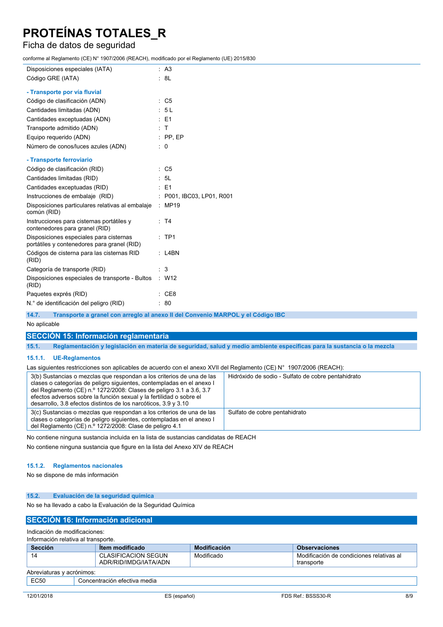## Ficha de datos de seguridad

conforme al Reglamento (CE) N° 1907/2006 (REACH), modificado por el Reglamento (UE) 2015/830

| Disposiciones especiales (IATA)                                                        | : A3                                                                            |
|----------------------------------------------------------------------------------------|---------------------------------------------------------------------------------|
| Código GRE (IATA)                                                                      | : 8L                                                                            |
| - Transporte por vía fluvial                                                           |                                                                                 |
| Código de clasificación (ADN)                                                          | $\therefore$ C5                                                                 |
| Cantidades limitadas (ADN)                                                             | : 5L                                                                            |
| Cantidades exceptuadas (ADN)                                                           | $\therefore$ E1                                                                 |
| Transporte admitido (ADN)                                                              | : T                                                                             |
| Equipo requerido (ADN)                                                                 | $:$ PP, EP                                                                      |
| Número de conos/luces azules (ADN)                                                     | $\therefore$ 0                                                                  |
| - Transporte ferroviario                                                               |                                                                                 |
| Código de clasificación (RID)                                                          | $\therefore$ C5                                                                 |
| Cantidades limitadas (RID)                                                             | : 5L                                                                            |
| Cantidades exceptuadas (RID)                                                           | : E1                                                                            |
| Instrucciones de embalaje (RID)                                                        | : P001, IBC03, LP01, R001                                                       |
| Disposiciones particulares relativas al embalaje<br>común (RID)                        | : MP19                                                                          |
| Instrucciones para cisternas portátiles y<br>contenedores para granel (RID)            | : T4                                                                            |
| Disposiciones especiales para cisternas<br>portátiles y contenedores para granel (RID) | $:$ TP1                                                                         |
| Códigos de cisterna para las cisternas RID<br>(RID)                                    | $:$ L4BN                                                                        |
| Categoría de transporte (RID)                                                          | : 3                                                                             |
| Disposiciones especiales de transporte - Bultos<br>(RID)                               | $\therefore$ W12                                                                |
| Paquetes exprés (RID)                                                                  | : CE8                                                                           |
| N.º de identificación del peligro (RID)                                                | : 80                                                                            |
| 14.7.                                                                                  | Transporte a granel con arregio al anexo II del Convenio MARPOL y el Código IBC |

No aplicable

### **SECCIÓN 15: Información reglamentaria**

15.1. Reglamentación y legislación en materia de seguridad, salud y medio ambiente específicas para la sustancia o la mezcla

#### **15.1.1. UE-Reglamentos**

Las siguientes restricciones son aplicables de acuerdo con el anexo XVII del Reglamento (CE) N° 1907/2006 (REACH):

| 3(b) Sustancias o mezclas que respondan a los criterios de una de las<br>clases o categorías de peligro siguientes, contempladas en el anexo l<br>del Reglamento (CE) n.º 1272/2008: Clases de peligro 3.1 a 3.6, 3.7<br>efectos adversos sobre la función sexual y la fertilidad o sobre el<br>desarrollo, 3.8 efectos distintos de los narcóticos, $3.9 \text{ y } 3.10$ | Hidróxido de sodio - Sulfato de cobre pentahidrato |
|----------------------------------------------------------------------------------------------------------------------------------------------------------------------------------------------------------------------------------------------------------------------------------------------------------------------------------------------------------------------------|----------------------------------------------------|
| 3(c) Sustancias o mezclas que respondan a los criterios de una de las<br>clases o categorías de peligro siguientes, contempladas en el anexo l<br>del Reglamento (CE) n.º 1272/2008: Clase de peligro 4.1                                                                                                                                                                  | Sulfato de cobre pentahidrato                      |

No contiene ninguna sustancia incluida en la lista de sustancias candidatas de REACH

No contiene ninguna sustancia que figure en la lista del Anexo XIV de REACH

#### **15.1.2. Reglamentos nacionales**

No se dispone de más información

#### **15.2. Evaluación de la seguridad química**

No se ha llevado a cabo la Evaluación de la Seguridad Química

### **SECCIÓN 16: Información adicional**

Indicación de modificaciones:

#### Información relativa al transporte.

| <b>Sección</b>            | Item modificado                              | <b>Modificación</b> | <b>Observaciones</b>                                   |  |
|---------------------------|----------------------------------------------|---------------------|--------------------------------------------------------|--|
| 14                        | CLASIFICACION SEGUN<br>ADR/RID/IMDG/IATA/ADN | Modificado          | Modificación de condiciones relativas al<br>transporte |  |
| Abreviaturas y acrónimos: |                                              |                     |                                                        |  |
| EC50                      | Concentración efectiva media                 |                     |                                                        |  |
|                           |                                              |                     |                                                        |  |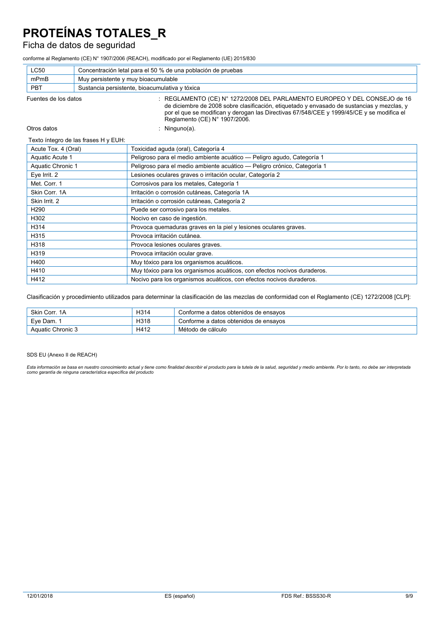## Ficha de datos de seguridad

conforme al Reglamento (CE) N° 1907/2006 (REACH), modificado por el Reglamento (UE) 2015/830

| <b>LC50</b>                                                                  | Concentración letal para el 50 % de una población de pruebas |                                                                                                                                                                                                                                                                      |  |
|------------------------------------------------------------------------------|--------------------------------------------------------------|----------------------------------------------------------------------------------------------------------------------------------------------------------------------------------------------------------------------------------------------------------------------|--|
| mPmB                                                                         | Muy persistente y muy bioacumulable                          |                                                                                                                                                                                                                                                                      |  |
| PBT                                                                          |                                                              | Sustancia persistente, bioacumulativa y tóxica                                                                                                                                                                                                                       |  |
| Fuentes de los datos<br>Reglamento (CE) N° 1907/2006.                        |                                                              | : REGLAMENTO (CE) N° 1272/2008 DEL PARLAMENTO EUROPEO Y DEL CONSEJO de 16<br>de diciembre de 2008 sobre clasificación, etiquetado y envasado de sustancias y mezclas, y<br>por el que se modifican y derogan las Directivas 67/548/CEE y 1999/45/CE y se modifica el |  |
| Otros datos                                                                  |                                                              | Ninguno(a).                                                                                                                                                                                                                                                          |  |
|                                                                              | Texto íntegro de las frases H y EUH:                         |                                                                                                                                                                                                                                                                      |  |
| Acute Tox. 4 (Oral)                                                          |                                                              | Toxicidad aguda (oral), Categoría 4                                                                                                                                                                                                                                  |  |
| Aquatic Acute 1                                                              |                                                              | Peligroso para el medio ambiente acuático - Peligro agudo, Categoría 1                                                                                                                                                                                               |  |
| Aquatic Chronic 1                                                            |                                                              | Peligroso para el medio ambiente acuático - Peligro crónico, Categoría 1                                                                                                                                                                                             |  |
| Eye Irrit. 2<br>Lesiones oculares graves o irritación ocular, Categoría 2    |                                                              |                                                                                                                                                                                                                                                                      |  |
| Met. Corr. 1<br>Corrosivos para los metales, Categoría 1                     |                                                              |                                                                                                                                                                                                                                                                      |  |
| Skin Corr. 1A<br>Irritación o corrosión cutáneas, Categoría 1A               |                                                              |                                                                                                                                                                                                                                                                      |  |
| Irritación o corrosión cutáneas, Categoría 2<br>Skin Irrit. 2                |                                                              |                                                                                                                                                                                                                                                                      |  |
| H <sub>290</sub><br>Puede ser corrosivo para los metales.                    |                                                              |                                                                                                                                                                                                                                                                      |  |
| H302<br>Nocivo en caso de ingestión.                                         |                                                              |                                                                                                                                                                                                                                                                      |  |
| H314                                                                         |                                                              | Provoca quemaduras graves en la piel y lesiones oculares graves.                                                                                                                                                                                                     |  |
| H315                                                                         |                                                              | Provoca irritación cutánea.                                                                                                                                                                                                                                          |  |
| H318                                                                         |                                                              | Provoca lesiones oculares graves.                                                                                                                                                                                                                                    |  |
| H319                                                                         |                                                              | Provoca irritación ocular grave.                                                                                                                                                                                                                                     |  |
| H400                                                                         |                                                              | Muy tóxico para los organismos acuáticos.                                                                                                                                                                                                                            |  |
| H410                                                                         |                                                              | Muy tóxico para los organismos acuáticos, con efectos nocivos duraderos.                                                                                                                                                                                             |  |
| H412<br>Nocivo para los organismos acuáticos, con efectos nocivos duraderos. |                                                              |                                                                                                                                                                                                                                                                      |  |

Clasificación y procedimiento utilizados para determinar la clasificación de las mezclas de conformidad con el Reglamento (CE) 1272/2008 [CLP]:

| Skin Corr. 1A     | H314 | Conforme a datos obtenidos de ensayos |
|-------------------|------|---------------------------------------|
| Eve Dam.          | H318 | Conforme a datos obtenidos de ensayos |
| Aquatic Chronic 3 | H412 | Método de cálculo                     |

SDS EU (Anexo II de REACH)

Esta información se basa en nuestro conocimiento actual y tiene como finalidad describir el producto para la tutela de la salud, seguridad y medio ambiente. Por lo tanto, no debe ser interpretada<br>como garantía de ninguna c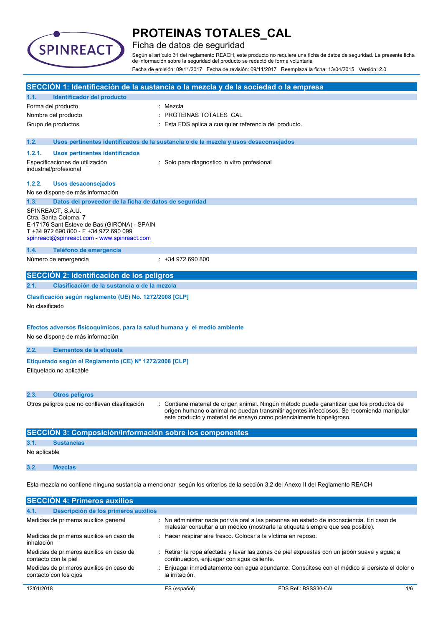

## Ficha de datos de seguridad

Según el artículo 31 del reglamento REACH, este producto no requiere una ficha de datos de seguridad. La presente ficha de información sobre la seguridad del producto se redactó de forma voluntaria Fecha de emisión: 09/11/2017 Fecha de revisión: 09/11/2017 Reemplaza la ficha: 13/04/2015 Versión: 2.0

|                |                                                                                                                                                                                   | SECCIÓN 1: Identificación de la sustancia o la mezcla y de la sociedad o la empresa                                                                                                                                                                           |
|----------------|-----------------------------------------------------------------------------------------------------------------------------------------------------------------------------------|---------------------------------------------------------------------------------------------------------------------------------------------------------------------------------------------------------------------------------------------------------------|
| 1.1.           | Identificador del producto                                                                                                                                                        |                                                                                                                                                                                                                                                               |
|                | Forma del producto                                                                                                                                                                | : Mezcla                                                                                                                                                                                                                                                      |
|                | Nombre del producto                                                                                                                                                               | PROTEINAS TOTALES_CAL                                                                                                                                                                                                                                         |
|                | Grupo de productos                                                                                                                                                                | Esta FDS aplica a cualquier referencia del producto.                                                                                                                                                                                                          |
|                |                                                                                                                                                                                   |                                                                                                                                                                                                                                                               |
| 1.2.           |                                                                                                                                                                                   | Usos pertinentes identificados de la sustancia o de la mezcla y usos desaconsejados                                                                                                                                                                           |
| 1.2.1.         | Usos pertinentes identificados                                                                                                                                                    |                                                                                                                                                                                                                                                               |
|                | Especificaciones de utilización<br>industrial/profesional                                                                                                                         | : Solo para diagnostico in vitro profesional                                                                                                                                                                                                                  |
| 1.2.2.         | <b>Usos desaconsejados</b>                                                                                                                                                        |                                                                                                                                                                                                                                                               |
|                | No se dispone de más información                                                                                                                                                  |                                                                                                                                                                                                                                                               |
| 1.3.           | Datos del proveedor de la ficha de datos de seguridad                                                                                                                             |                                                                                                                                                                                                                                                               |
|                | SPINREACT, S.A.U.<br>Ctra. Santa Coloma, 7<br>E-17176 Sant Esteve de Bas (GIRONA) - SPAIN<br>T +34 972 690 800 - F +34 972 690 099<br>spinreact@spinreact.com - www.spinreact.com |                                                                                                                                                                                                                                                               |
| 1.4.           | Teléfono de emergencia                                                                                                                                                            |                                                                                                                                                                                                                                                               |
|                | Número de emergencia                                                                                                                                                              | $: +34972690800$                                                                                                                                                                                                                                              |
|                | SECCIÓN 2: Identificación de los peligros                                                                                                                                         |                                                                                                                                                                                                                                                               |
| 2.1.           | Clasificación de la sustancia o de la mezcla                                                                                                                                      |                                                                                                                                                                                                                                                               |
| No clasificado | Clasificación según reglamento (UE) No. 1272/2008 [CLP]                                                                                                                           |                                                                                                                                                                                                                                                               |
|                | Efectos adversos fisicoquímicos, para la salud humana y el medio ambiente<br>No se dispone de más información                                                                     |                                                                                                                                                                                                                                                               |
| 2.2.           | Elementos de la etiqueta                                                                                                                                                          |                                                                                                                                                                                                                                                               |
|                | Etiquetado según el Reglamento (CE) Nº 1272/2008 [CLP]<br>Etiquetado no aplicable                                                                                                 |                                                                                                                                                                                                                                                               |
| 2.3.           | <b>Otros peligros</b>                                                                                                                                                             |                                                                                                                                                                                                                                                               |
|                | Otros peligros que no conllevan clasificación                                                                                                                                     | : Contiene material de origen animal. Ningún método puede garantizar que los productos de<br>origen humano o animal no puedan transmitir agentes infecciosos. Se recomienda manipular<br>este producto y material de ensayo como potencialmente biopeligroso. |
|                | SECCIÓN 3: Composición/información sobre los componentes                                                                                                                          |                                                                                                                                                                                                                                                               |
| 3.1.           | <b>Sustancias</b>                                                                                                                                                                 |                                                                                                                                                                                                                                                               |
| No aplicable   |                                                                                                                                                                                   |                                                                                                                                                                                                                                                               |
| 3.2.           | <b>Mezclas</b>                                                                                                                                                                    |                                                                                                                                                                                                                                                               |

Esta mezcla no contiene ninguna sustancia a mencionar según los criterios de la sección 3.2 del Anexo II del Reglamento REACH

| <b>SECCION 4: Primeros auxilios</b>                              |                                           |                                                                                                                                                                             |     |
|------------------------------------------------------------------|-------------------------------------------|-----------------------------------------------------------------------------------------------------------------------------------------------------------------------------|-----|
| 4.1.<br>Descripción de los primeros auxilios                     |                                           |                                                                                                                                                                             |     |
| Medidas de primeros auxilios general                             |                                           | : No administrar nada por vía oral a las personas en estado de inconsciencia. En caso de<br>malestar consultar a un médico (mostrarle la etiqueta siempre que sea posible). |     |
| Medidas de primeros auxilios en caso de<br>inhalación            |                                           | Hacer respirar aire fresco. Colocar a la víctima en reposo.                                                                                                                 |     |
| Medidas de primeros auxilios en caso de<br>contacto con la piel  | continuación, enjuagar con aqua caliente. | $\therefore$ Retirar la ropa afectada y lavar las zonas de piel expuestas con un jabón suave y aqua; a                                                                      |     |
| Medidas de primeros auxilios en caso de<br>contacto con los ojos | la irritación.                            | Enjuagar inmediatamente con agua abundante. Consúltese con el médico si persiste el dolor o                                                                                 |     |
| 12/01/2018                                                       | ES (español)                              | FDS Ref.: BSSS30-CAL                                                                                                                                                        | 1/6 |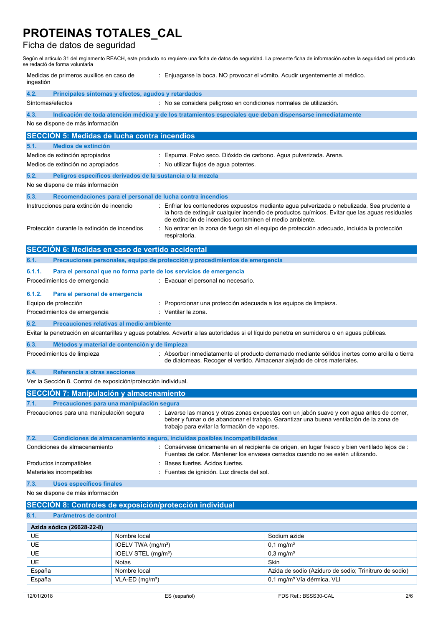## Ficha de datos de seguridad

Según el artículo 31 del reglamento REACH, este producto no requiere una ficha de datos de seguridad. La presente ficha de información sobre la seguridad del producto se redactó de forma voluntaria

| Medidas de primeros auxilios en caso de<br>ingestión                        |                                                                                                                                                                            | : Enjuagarse la boca. NO provocar el vómito. Acudir urgentemente al médico.  |                                                                                                                                                                                             |  |  |
|-----------------------------------------------------------------------------|----------------------------------------------------------------------------------------------------------------------------------------------------------------------------|------------------------------------------------------------------------------|---------------------------------------------------------------------------------------------------------------------------------------------------------------------------------------------|--|--|
| 4.2.<br>Principales síntomas y efectos, agudos y retardados                 |                                                                                                                                                                            |                                                                              |                                                                                                                                                                                             |  |  |
| Síntomas/efectos                                                            |                                                                                                                                                                            | : No se considera peligroso en condiciones normales de utilización.          |                                                                                                                                                                                             |  |  |
|                                                                             | 4.3.<br>Indicación de toda atención médica y de los tratamientos especiales que deban dispensarse inmediatamente<br>No se dispone de más información                       |                                                                              |                                                                                                                                                                                             |  |  |
| <b>SECCIÓN 5: Medidas de lucha contra incendios</b>                         |                                                                                                                                                                            |                                                                              |                                                                                                                                                                                             |  |  |
| <b>Medios de extinción</b><br>5.1.                                          |                                                                                                                                                                            |                                                                              |                                                                                                                                                                                             |  |  |
| Medios de extinción apropiados                                              |                                                                                                                                                                            | Espuma. Polvo seco. Dióxido de carbono. Agua pulverizada. Arena.             |                                                                                                                                                                                             |  |  |
| Medios de extinción no apropiados                                           |                                                                                                                                                                            | : No utilizar flujos de aqua potentes.                                       |                                                                                                                                                                                             |  |  |
| 5.2.<br>Peligros específicos derivados de la sustancia o la mezcla          |                                                                                                                                                                            |                                                                              |                                                                                                                                                                                             |  |  |
| No se dispone de más información                                            |                                                                                                                                                                            |                                                                              |                                                                                                                                                                                             |  |  |
| 5.3.                                                                        |                                                                                                                                                                            | Recomendaciones para el personal de lucha contra incendios                   |                                                                                                                                                                                             |  |  |
| Instrucciones para extinción de incendio                                    |                                                                                                                                                                            | de extinción de incendios contaminen el medio ambiente.                      | Enfriar los contenedores expuestos mediante agua pulverizada o nebulizada. Sea prudente a<br>la hora de extinguir cualquier incendio de productos químicos. Evitar que las aguas residuales |  |  |
| Protección durante la extinción de incendios                                |                                                                                                                                                                            | respiratoria.                                                                | No entrar en la zona de fuego sin el equipo de protección adecuado, incluida la protección                                                                                                  |  |  |
| SECCIÓN 6: Medidas en caso de vertido accidental                            |                                                                                                                                                                            |                                                                              |                                                                                                                                                                                             |  |  |
| 6.1.                                                                        |                                                                                                                                                                            | Precauciones personales, equipo de protección y procedimientos de emergencia |                                                                                                                                                                                             |  |  |
| 6.1.1.                                                                      |                                                                                                                                                                            | Para el personal que no forma parte de los servicios de emergencia           |                                                                                                                                                                                             |  |  |
| Procedimientos de emergencia                                                |                                                                                                                                                                            | : Evacuar el personal no necesario.                                          |                                                                                                                                                                                             |  |  |
| 6.1.2.<br>Para el personal de emergencia<br>Equipo de protección            |                                                                                                                                                                            | Proporcionar una protección adecuada a los equipos de limpieza.              |                                                                                                                                                                                             |  |  |
| Procedimientos de emergencia                                                | : Ventilar la zona.                                                                                                                                                        |                                                                              |                                                                                                                                                                                             |  |  |
| 6.2.<br>Precauciones relativas al medio ambiente                            |                                                                                                                                                                            |                                                                              |                                                                                                                                                                                             |  |  |
|                                                                             |                                                                                                                                                                            |                                                                              | Evitar la penetración en alcantarillas y aguas potables. Advertir a las autoridades si el líquido penetra en sumideros o en aguas públicas.                                                 |  |  |
| 6.3.<br>Métodos y material de contención y de limpieza                      |                                                                                                                                                                            |                                                                              |                                                                                                                                                                                             |  |  |
| Procedimientos de limpieza                                                  | : Absorber inmediatamente el producto derramado mediante sólidos inertes como arcilla o tierra<br>de diatomeas. Recoger el vertido. Almacenar alejado de otros materiales. |                                                                              |                                                                                                                                                                                             |  |  |
| 6.4.<br>Referencia a otras secciones                                        |                                                                                                                                                                            |                                                                              |                                                                                                                                                                                             |  |  |
| Ver la Sección 8. Control de exposición/protección individual.              |                                                                                                                                                                            |                                                                              |                                                                                                                                                                                             |  |  |
| <b>SECCIÓN 7: Manipulación y almacenamiento</b>                             |                                                                                                                                                                            |                                                                              |                                                                                                                                                                                             |  |  |
| Precauciones para una manipulación segura<br>7.1.                           |                                                                                                                                                                            |                                                                              |                                                                                                                                                                                             |  |  |
| Precauciones para una manipulación segura                                   |                                                                                                                                                                            | trabajo para evitar la formación de vapores.                                 | : Lavarse las manos y otras zonas expuestas con un jabón suave y con agua antes de comer,<br>beber y fumar o de abandonar el trabajo. Garantizar una buena ventilación de la zona de        |  |  |
| 7.2.                                                                        |                                                                                                                                                                            | Condiciones de almacenamiento seguro, incluidas posibles incompatibilidades  |                                                                                                                                                                                             |  |  |
| Condiciones de almacenamiento                                               |                                                                                                                                                                            |                                                                              | : Consérvese únicamente en el recipiente de origen, en lugar fresco y bien ventilado lejos de :                                                                                             |  |  |
|                                                                             |                                                                                                                                                                            | Bases fuertes. Acidos fuertes.                                               | Fuentes de calor. Mantener los envases cerrados cuando no se estén utilizando.                                                                                                              |  |  |
| Productos incompatibles<br>Materiales incompatibles                         |                                                                                                                                                                            | Fuentes de ignición. Luz directa del sol.                                    |                                                                                                                                                                                             |  |  |
|                                                                             |                                                                                                                                                                            |                                                                              |                                                                                                                                                                                             |  |  |
| 7.3.<br><b>Usos específicos finales</b><br>No se dispone de más información |                                                                                                                                                                            |                                                                              |                                                                                                                                                                                             |  |  |
| SECCIÓN 8: Controles de exposición/protección individual                    |                                                                                                                                                                            |                                                                              |                                                                                                                                                                                             |  |  |
| Parámetros de control<br>8.1.                                               |                                                                                                                                                                            |                                                                              |                                                                                                                                                                                             |  |  |
|                                                                             |                                                                                                                                                                            |                                                                              |                                                                                                                                                                                             |  |  |
| Azida sódica (26628-22-8)                                                   |                                                                                                                                                                            |                                                                              |                                                                                                                                                                                             |  |  |
| UE<br>UE                                                                    | Nombre local<br>IOELV TWA (mg/m <sup>3</sup> )                                                                                                                             |                                                                              | Sodium azide<br>$0,1$ mg/m <sup>3</sup>                                                                                                                                                     |  |  |
| UE                                                                          | IOELV STEL (mg/m <sup>3</sup> )                                                                                                                                            |                                                                              | $0,3$ mg/m <sup>3</sup>                                                                                                                                                                     |  |  |
| UE<br>Notas                                                                 |                                                                                                                                                                            |                                                                              | Skin                                                                                                                                                                                        |  |  |
| España                                                                      | Nombre local                                                                                                                                                               |                                                                              | Azida de sodio (Aziduro de sodio; Trinitruro de sodio)                                                                                                                                      |  |  |
| España                                                                      | $VLA-ED$ (mg/m <sup>3</sup> )                                                                                                                                              |                                                                              | 0,1 mg/m <sup>3</sup> Vía dérmica, VLI                                                                                                                                                      |  |  |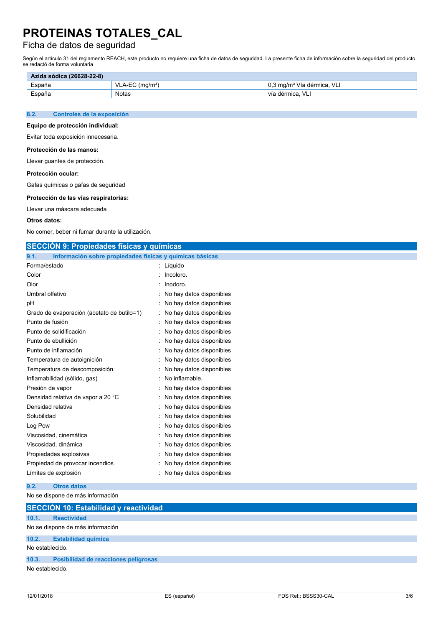## Ficha de datos de seguridad

Según el artículo 31 del reglamento REACH, este producto no requiere una ficha de datos de seguridad. La presente ficha de información sobre la seguridad del producto se redactó de forma voluntaria

| Azida sódica (26628-22-8) |                  |                                        |  |
|---------------------------|------------------|----------------------------------------|--|
| España                    | $VLA-EC (ma/m3)$ | 0,3 mg/m <sup>3</sup> Vía dérmica, VLI |  |
| España                    | <b>Notas</b>     | vía dérmica. VLI                       |  |

#### **8.2. Controles de la exposición**

### **Equipo de protección individual:**

Evitar toda exposición innecesaria.

#### **Protección de las manos:**

Llevar guantes de protección.

#### **Protección ocular:**

Gafas químicas o gafas de seguridad

#### **Protección de las vías respiratorias:**

Llevar una máscara adecuada

#### **Otros datos:**

No comer, beber ni fumar durante la utilización.

### **SECCIÓN 9: Propiedades físicas y químicas**

| 9.1.<br>Información sobre propiedades físicas y químicas básicas |                          |
|------------------------------------------------------------------|--------------------------|
| Forma/estado                                                     | Líquido<br>t             |
| Color                                                            | Incoloro.                |
| Olor                                                             | Inodoro.                 |
| Umbral olfativo                                                  | No hay datos disponibles |
| рH                                                               | No hay datos disponibles |
| Grado de evaporación (acetato de butilo=1)                       | No hay datos disponibles |
| Punto de fusión                                                  | No hay datos disponibles |
| Punto de solidificación                                          | No hay datos disponibles |
| Punto de ebullición                                              | No hay datos disponibles |
| Punto de inflamación                                             | No hay datos disponibles |
| Temperatura de autoignición                                      | No hay datos disponibles |
| Temperatura de descomposición                                    | No hay datos disponibles |
| Inflamabilidad (sólido, gas)                                     | No inflamable.           |
| Presión de vapor                                                 | No hay datos disponibles |
| Densidad relativa de vapor a 20 °C                               | No hay datos disponibles |
| Densidad relativa                                                | No hay datos disponibles |
| Solubilidad                                                      | No hay datos disponibles |
| Log Pow                                                          | No hay datos disponibles |
| Viscosidad, cinemática                                           | No hay datos disponibles |
| Viscosidad, dinámica                                             | No hay datos disponibles |
| Propiedades explosivas                                           | No hay datos disponibles |
| Propiedad de provocar incendios                                  | No hay datos disponibles |
| Límites de explosión                                             | No hay datos disponibles |

#### **9.2. Otros datos**

### No se dispone de más información

|                 | SECCIÓN 10: Estabilidad y reactividad       |  |  |
|-----------------|---------------------------------------------|--|--|
| 10.1.           | <b>Reactividad</b>                          |  |  |
|                 | No se dispone de más información            |  |  |
| 10.2.           | <b>Estabilidad química</b>                  |  |  |
| No establecido. |                                             |  |  |
| 10.3.           | <b>Posibilidad de reacciones peligrosas</b> |  |  |
| No establecido. |                                             |  |  |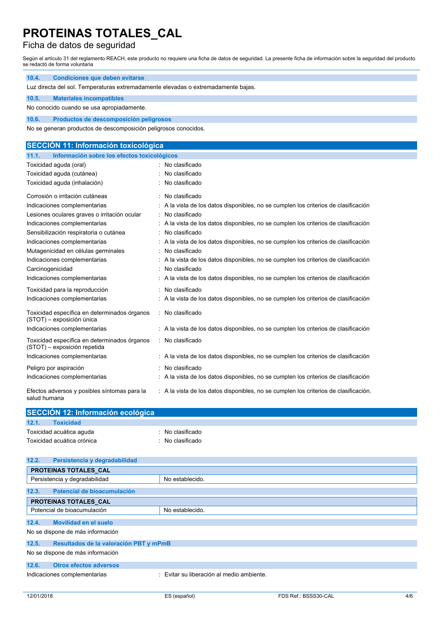## Ficha de datos de seguridad

Según el artículo 31 del reglamento REACH, este producto no requiere una ficha de datos de seguridad. La presente ficha de información sobre la seguridad del producto se redactó de forma voluntaria

| 10.4.<br><b>Condiciones que deben evitarse</b>                                    |                                                                                     |  |  |  |
|-----------------------------------------------------------------------------------|-------------------------------------------------------------------------------------|--|--|--|
| Luz directa del sol. Temperaturas extremadamente elevadas o extremadamente bajas. |                                                                                     |  |  |  |
| 10.5.<br><b>Materiales incompatibles</b>                                          |                                                                                     |  |  |  |
| No conocido cuando se usa apropiadamente.                                         |                                                                                     |  |  |  |
| 10.6.<br>Productos de descomposición peligrosos                                   |                                                                                     |  |  |  |
| No se generan productos de descomposición peligrosos conocidos.                   |                                                                                     |  |  |  |
|                                                                                   |                                                                                     |  |  |  |
| <b>SECCIÓN 11: Información toxicológica</b>                                       |                                                                                     |  |  |  |
| Información sobre los efectos toxicológicos<br>11.1.                              |                                                                                     |  |  |  |
| Toxicidad aguda (oral)                                                            | : No clasificado                                                                    |  |  |  |
| Toxicidad aguda (cutánea)                                                         | No clasificado                                                                      |  |  |  |
| Toxicidad aguda (inhalación)                                                      | No clasificado                                                                      |  |  |  |
| Corrosión o irritación cutáneas                                                   | No clasificado                                                                      |  |  |  |
| Indicaciones complementarias                                                      | A la vista de los datos disponibles, no se cumplen los criterios de clasificación   |  |  |  |
| Lesiones oculares graves o irritación ocular                                      | No clasificado                                                                      |  |  |  |
| Indicaciones complementarias                                                      | : A la vista de los datos disponibles, no se cumplen los criterios de clasificación |  |  |  |
| Sensibilización respiratoria o cutánea                                            | No clasificado                                                                      |  |  |  |
| Indicaciones complementarias                                                      | A la vista de los datos disponibles, no se cumplen los criterios de clasificación   |  |  |  |
| Mutagenicidad en células germinales                                               | No clasificado                                                                      |  |  |  |
| Indicaciones complementarias                                                      | A la vista de los datos disponibles, no se cumplen los criterios de clasificación   |  |  |  |
| Carcinogenicidad                                                                  | No clasificado                                                                      |  |  |  |
| Indicaciones complementarias                                                      | A la vista de los datos disponibles, no se cumplen los criterios de clasificación   |  |  |  |
| Toxicidad para la reproducción                                                    | : No clasificado                                                                    |  |  |  |
| Indicaciones complementarias                                                      | A la vista de los datos disponibles, no se cumplen los criterios de clasificación   |  |  |  |
| Toxicidad específica en determinados órganos<br>(STOT) - exposición única         | : No clasificado                                                                    |  |  |  |
| Indicaciones complementarias                                                      | : A la vista de los datos disponibles, no se cumplen los criterios de clasificación |  |  |  |
| Toxicidad específica en determinados órganos<br>(STOT) - exposición repetida      | : No clasificado                                                                    |  |  |  |
| Indicaciones complementarias                                                      | : A la vista de los datos disponibles, no se cumplen los criterios de clasificación |  |  |  |
| Peligro por aspiración                                                            | No clasificado                                                                      |  |  |  |

| Indicaciones complementarias | : A la vista de los datos disponibles, no se cumplen los criterios de clasificación |  |  |
|------------------------------|-------------------------------------------------------------------------------------|--|--|
|                              |                                                                                     |  |  |

Efectos adversos y posibles síntomas para la salud humana : A la vista de los datos disponibles, no se cumplen los criterios de clasificación.

| SECCIÓN 12: Información ecológica |                  |  |
|-----------------------------------|------------------|--|
| 12.1.<br><b>Toxicidad</b>         |                  |  |
| Toxicidad acuática aguda          | ∴ No clasificado |  |
| Toxicidad acuática crónica        | : No clasificado |  |

| 12.2. | Persistencia y degradabilidad          |                                           |
|-------|----------------------------------------|-------------------------------------------|
|       | PROTEINAS TOTALES CAL                  |                                           |
|       | Persistencia y degradabilidad          | No establecido.                           |
| 12.3. | Potencial de bioacumulación            |                                           |
|       | PROTEINAS TOTALES CAL                  |                                           |
|       | Potencial de bioacumulación            | No establecido.                           |
| 12.4. | Movilidad en el suelo                  |                                           |
|       | No se dispone de más información       |                                           |
| 12.5. | Resultados de la valoración PBT y mPmB |                                           |
|       | No se dispone de más información       |                                           |
| 12.6. | <b>Otros efectos adversos</b>          |                                           |
|       | Indicaciones complementarias           | : Evitar su liberación al medio ambiente. |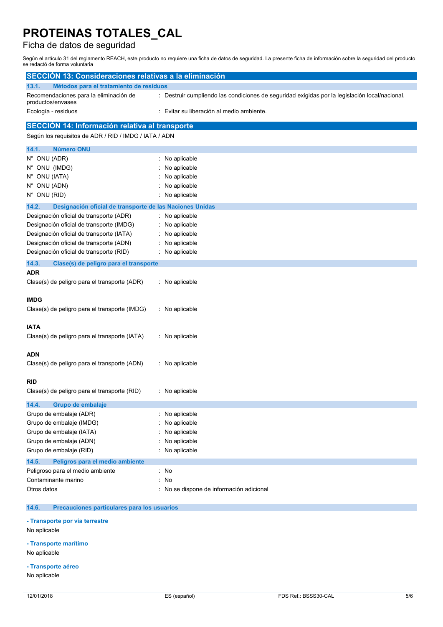## Ficha de datos de seguridad

Según el artículo 31 del reglamento REACH, este producto no requiere una ficha de datos de seguridad. La presente ficha de información sobre la seguridad del producto se redactó de forma voluntaria

| <b>SECCIÓN 13: Consideraciones relativas a la eliminación</b>     |                                                                                                |
|-------------------------------------------------------------------|------------------------------------------------------------------------------------------------|
| 13.1.<br>Métodos para el tratamiento de residuos                  |                                                                                                |
| Recomendaciones para la eliminación de<br>productos/envases       | : Destruir cumpliendo las condiciones de seguridad exigidas por la legislación local/nacional. |
| Ecología - residuos                                               | Evitar su liberación al medio ambiente.                                                        |
| SECCIÓN 14: Información relativa al transporte                    |                                                                                                |
| Según los requisitos de ADR / RID / IMDG / IATA / ADN             |                                                                                                |
| 14.1.<br><b>Número ONU</b>                                        |                                                                                                |
| N° ONU (ADR)                                                      | : No aplicable                                                                                 |
| N° ONU (IMDG)                                                     | No aplicable                                                                                   |
| N° ONU (IATA)                                                     | No aplicable                                                                                   |
| N° ONU (ADN)                                                      | No aplicable                                                                                   |
| N° ONU (RID)                                                      | No aplicable                                                                                   |
| 14.2.<br>Designación oficial de transporte de las Naciones Unidas |                                                                                                |
| Designación oficial de transporte (ADR)                           | : No aplicable                                                                                 |
| Designación oficial de transporte (IMDG)                          | No aplicable                                                                                   |
| Designación oficial de transporte (IATA)                          | No aplicable                                                                                   |
| Designación oficial de transporte (ADN)                           | No aplicable                                                                                   |
| Designación oficial de transporte (RID)                           | : No aplicable                                                                                 |
| 14.3.<br>Clase(s) de peligro para el transporte                   |                                                                                                |
| ADR                                                               |                                                                                                |
| Clase(s) de peligro para el transporte (ADR)                      | No aplicable                                                                                   |
| IMDG                                                              |                                                                                                |
| Clase(s) de peligro para el transporte (IMDG)                     | : No aplicable                                                                                 |
|                                                                   |                                                                                                |
| IATA                                                              |                                                                                                |
| Clase(s) de peligro para el transporte (IATA)                     | : No aplicable                                                                                 |
| ADN                                                               |                                                                                                |
| Clase(s) de peligro para el transporte (ADN)                      | : No aplicable                                                                                 |
|                                                                   |                                                                                                |
| <b>RID</b>                                                        |                                                                                                |
| Clase(s) de peligro para el transporte (RID)                      | : No aplicable                                                                                 |
| 14.4.<br>Grupo de embalaie                                        |                                                                                                |
| Grupo de embalaje (ADR)                                           | : No aplicable                                                                                 |
| Grupo de embalaje (IMDG)                                          | No aplicable                                                                                   |
| Grupo de embalaje (IATA)                                          | No aplicable                                                                                   |
| Grupo de embalaje (ADN)                                           | No aplicable                                                                                   |
| Grupo de embalaje (RID)                                           | No aplicable                                                                                   |
| 14.5.<br>Peligros para el medio ambiente                          |                                                                                                |
| Peligroso para el medio ambiente                                  | : No                                                                                           |
| Contaminante marino                                               | No                                                                                             |
| Otros datos                                                       | No se dispone de información adicional                                                         |
| quaianaa nartiaularee nara loo uquaric                            |                                                                                                |

**- Transporte por vía terrestre**

No aplicable

#### **- Transporte marítimo**

No aplicable

- **- Transporte aéreo**
- No aplicable